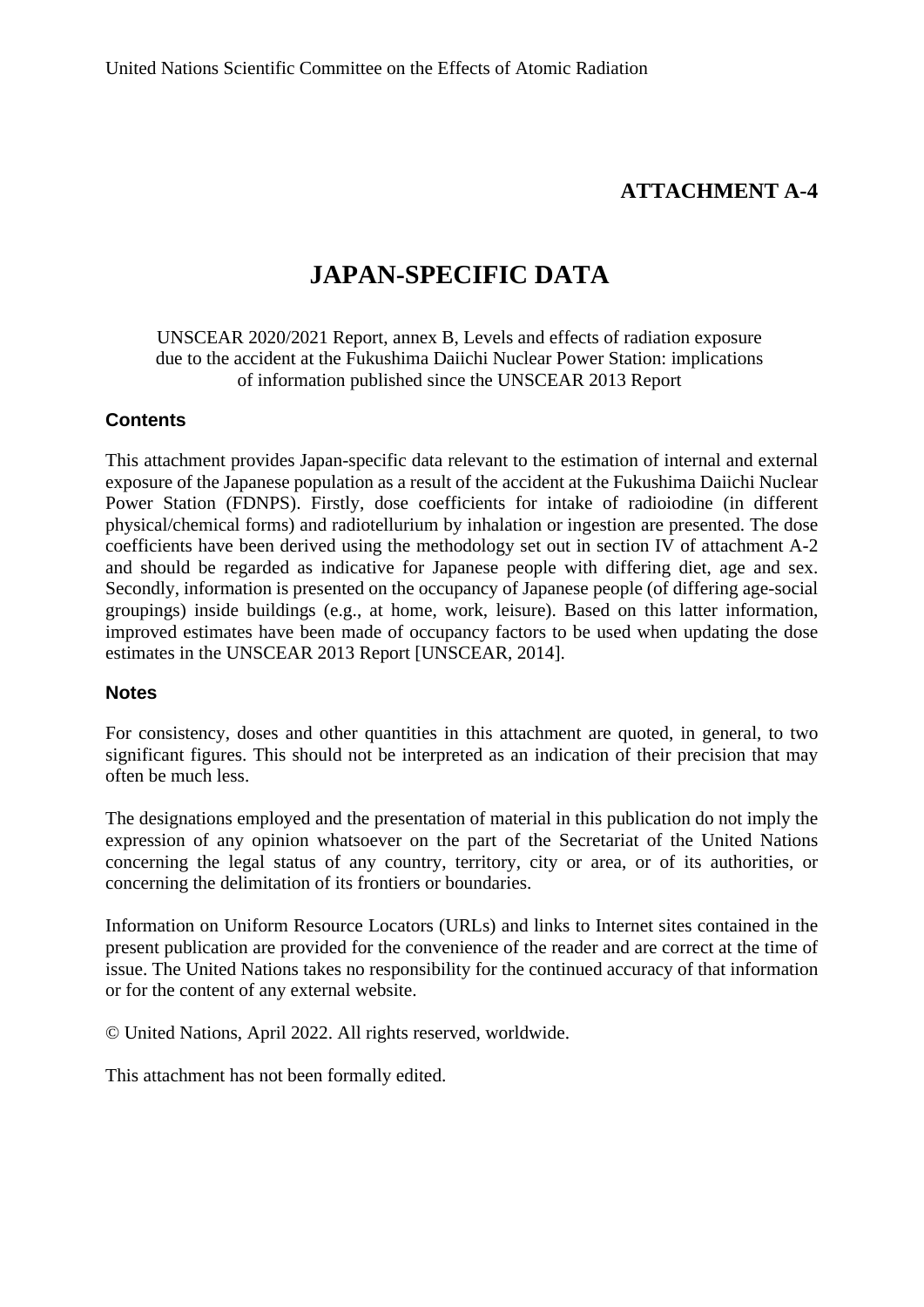# **ATTACHMENT A-4**

# **JAPAN-SPECIFIC DATA**

UNSCEAR 2020/2021 Report, annex B, Levels and effects of radiation exposure due to the accident at the Fukushima Daiichi Nuclear Power Station: implications of information published since the UNSCEAR 2013 Report

### **Contents**

This attachment provides Japan-specific data relevant to the estimation of internal and external exposure of the Japanese population as a result of the accident at the Fukushima Daiichi Nuclear Power Station (FDNPS). Firstly, dose coefficients for intake of radioiodine (in different physical/chemical forms) and radiotellurium by inhalation or ingestion are presented. The dose coefficients have been derived using the methodology set out in section IV of attachment A-2 and should be regarded as indicative for Japanese people with differing diet, age and sex. Secondly, information is presented on the occupancy of Japanese people (of differing age-social groupings) inside buildings (e.g., at home, work, leisure). Based on this latter information, improved estimates have been made of occupancy factors to be used when updating the dose estimates in the UNSCEAR 2013 Report [UNSCEAR, 2014].

### **Notes**

For consistency, doses and other quantities in this attachment are quoted, in general, to two significant figures. This should not be interpreted as an indication of their precision that may often be much less.

The designations employed and the presentation of material in this publication do not imply the expression of any opinion whatsoever on the part of the Secretariat of the United Nations concerning the legal status of any country, territory, city or area, or of its authorities, or concerning the delimitation of its frontiers or boundaries.

Information on Uniform Resource Locators (URLs) and links to Internet sites contained in the present publication are provided for the convenience of the reader and are correct at the time of issue. The United Nations takes no responsibility for the continued accuracy of that information or for the content of any external website.

© United Nations, April 2022. All rights reserved, worldwide.

This attachment has not been formally edited.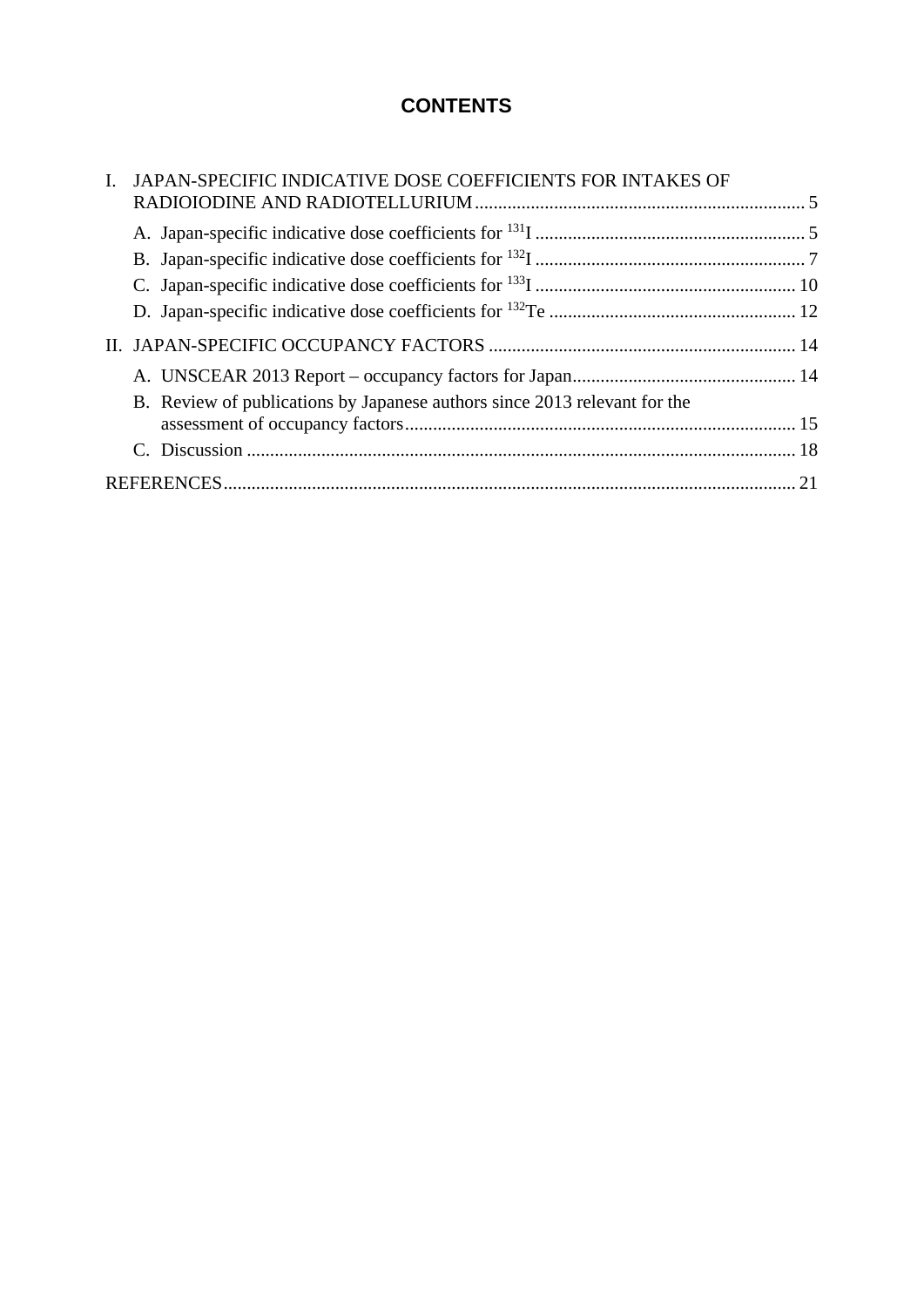# **CONTENTS**

| I. JAPAN-SPECIFIC INDICATIVE DOSE COEFFICIENTS FOR INTAKES OF             |  |
|---------------------------------------------------------------------------|--|
|                                                                           |  |
|                                                                           |  |
|                                                                           |  |
|                                                                           |  |
|                                                                           |  |
|                                                                           |  |
|                                                                           |  |
| B. Review of publications by Japanese authors since 2013 relevant for the |  |
|                                                                           |  |
|                                                                           |  |
|                                                                           |  |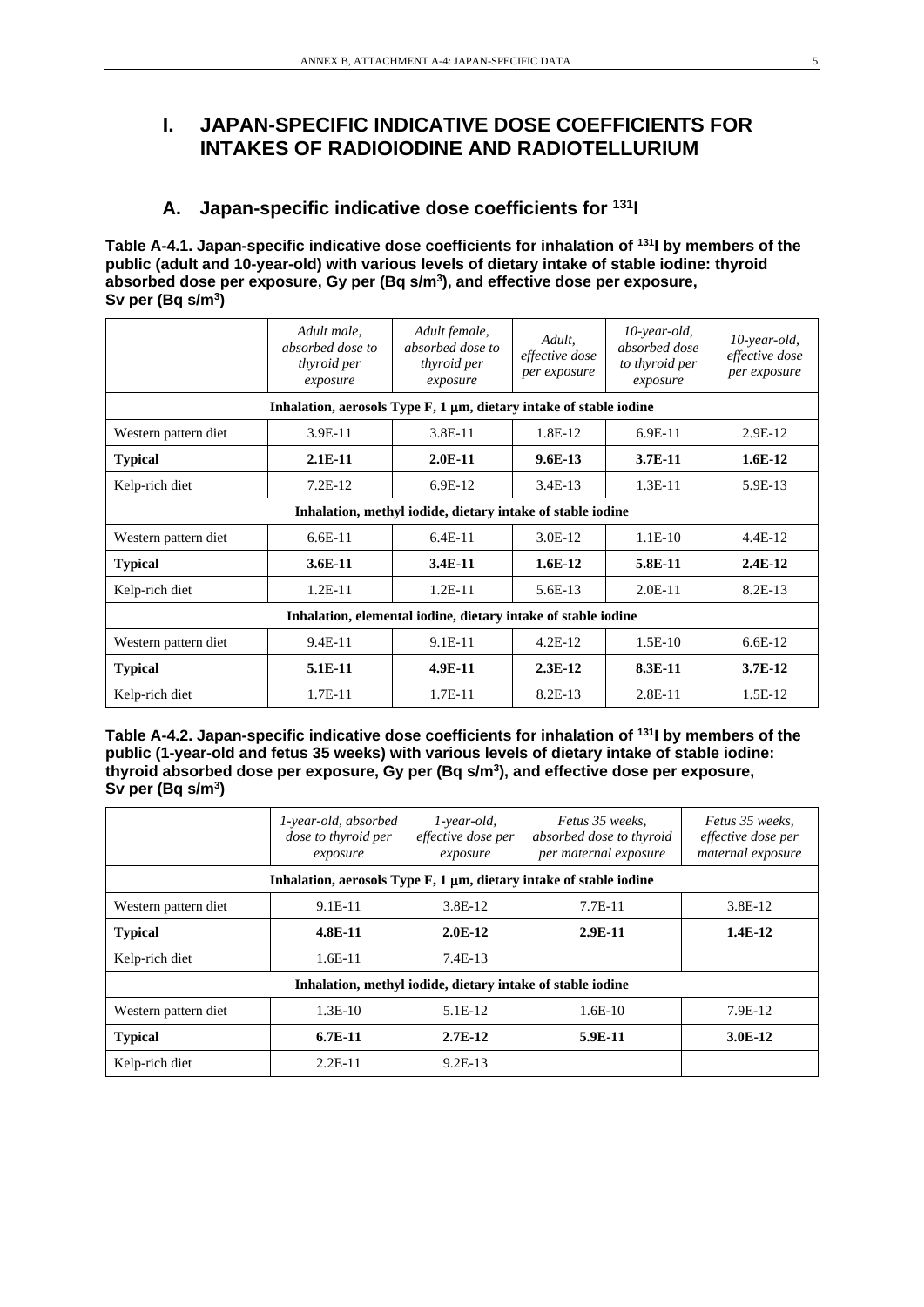# **I. JAPAN-SPECIFIC INDICATIVE DOSE COEFFICIENTS FOR INTAKES OF RADIOIODINE AND RADIOTELLURIUM**

### **A. Japan-specific indicative dose coefficients for 131I**

**Table A-4.1. Japan-specific indicative dose coefficients for inhalation of 131I by members of the public (adult and 10-year-old) with various levels of dietary intake of stable iodine: thyroid absorbed dose per exposure, Gy per (Bq s/m3), and effective dose per exposure, Sv per (Bq s/m3)**

|                                                               | Adult male,<br>absorbed dose to<br>thyroid per<br>exposure                 | Adult female,<br>absorbed dose to<br>thyroid per<br>exposure | Adult.<br>effective dose<br>per exposure | $10$ -year-old,<br>absorbed dose<br>to thyroid per<br>exposure | $10$ -year-old,<br>effective dose<br>per exposure |  |  |  |
|---------------------------------------------------------------|----------------------------------------------------------------------------|--------------------------------------------------------------|------------------------------------------|----------------------------------------------------------------|---------------------------------------------------|--|--|--|
|                                                               | Inhalation, aerosols Type $F$ , 1 $\mu$ m, dietary intake of stable iodine |                                                              |                                          |                                                                |                                                   |  |  |  |
| Western pattern diet                                          | 3.9E-11                                                                    | 3.8E-11                                                      | 1.8E-12                                  | $6.9E-11$                                                      | 2.9E-12                                           |  |  |  |
| <b>Typical</b>                                                | $2.1E-11$                                                                  | $2.0E-11$                                                    | $9.6E-13$                                | $3.7E-11$                                                      | $1.6E-12$                                         |  |  |  |
| Kelp-rich diet                                                | $7.2E-12$                                                                  | 6.9E-12                                                      | $3.4E-13$                                | $1.3E-11$                                                      | 5.9E-13                                           |  |  |  |
|                                                               |                                                                            | Inhalation, methyl iodide, dietary intake of stable iodine   |                                          |                                                                |                                                   |  |  |  |
| Western pattern diet                                          | $6.6E-11$                                                                  | $6.4E-11$                                                    | 3.0E-12                                  | $1.1E-10$                                                      | $4.4E-12$                                         |  |  |  |
| <b>Typical</b>                                                | 3.6E-11                                                                    | 3.4E-11                                                      | $1.6E-12$                                | 5.8E-11                                                        | $2.4E-12$                                         |  |  |  |
| Kelp-rich diet                                                | $1.2E-11$                                                                  | $1.2E-11$                                                    | $5.6E-13$                                | $2.0E-11$                                                      | 8.2E-13                                           |  |  |  |
| Inhalation, elemental iodine, dietary intake of stable iodine |                                                                            |                                                              |                                          |                                                                |                                                   |  |  |  |
| Western pattern diet                                          | 9.4E-11<br>9.1E-11<br>$4.2E-12$<br>$1.5E-10$<br>$6.6E-12$                  |                                                              |                                          |                                                                |                                                   |  |  |  |
| <b>Typical</b>                                                | 5.1E-11                                                                    | 4.9E-11                                                      | $2.3E-12$                                | 8.3E-11                                                        | $3.7E-12$                                         |  |  |  |
| Kelp-rich diet                                                | $1.7E-11$                                                                  | $1.7E-11$                                                    | 8.2E-13                                  | 2.8E-11                                                        | 1.5E-12                                           |  |  |  |

**Table A-4.2. Japan-specific indicative dose coefficients for inhalation of 131I by members of the public (1-year-old and fetus 35 weeks) with various levels of dietary intake of stable iodine: thyroid absorbed dose per exposure, Gy per (Bq s/m3), and effective dose per exposure, Sv per (Bq s/m3)**

|                      | 1-year-old, absorbed<br>dose to thyroid per<br>exposure                    | $1$ -year-old,<br>effective dose per<br>exposure           | Fetus 35 weeks.<br>absorbed dose to thyroid<br>per maternal exposure | Fetus 35 weeks.<br>effective dose per<br>maternal exposure |
|----------------------|----------------------------------------------------------------------------|------------------------------------------------------------|----------------------------------------------------------------------|------------------------------------------------------------|
|                      | Inhalation, aerosols Type $F$ , 1 $\mu$ m, dietary intake of stable iodine |                                                            |                                                                      |                                                            |
| Western pattern diet | $9.1E-11$                                                                  | 3.8E-12                                                    | $7.7E-11$                                                            | 3.8E-12                                                    |
| <b>Typical</b>       | $4.8E-11$                                                                  | $2.0E-12$                                                  | $2.9E-11$                                                            | $1.4E-12$                                                  |
| Kelp-rich diet       | $1.6E-11$                                                                  | $7.4E-13$                                                  |                                                                      |                                                            |
|                      |                                                                            | Inhalation, methyl iodide, dietary intake of stable iodine |                                                                      |                                                            |
| Western pattern diet | $1.3E-10$                                                                  | 5.1E-12                                                    | $1.6E-10$                                                            | 7.9E-12                                                    |
| <b>Typical</b>       | $6.7E-11$                                                                  | $2.7E-12$                                                  | 5.9E-11                                                              | $3.0E-12$                                                  |
| Kelp-rich diet       | $2.2E-11$                                                                  | $9.2E-13$                                                  |                                                                      |                                                            |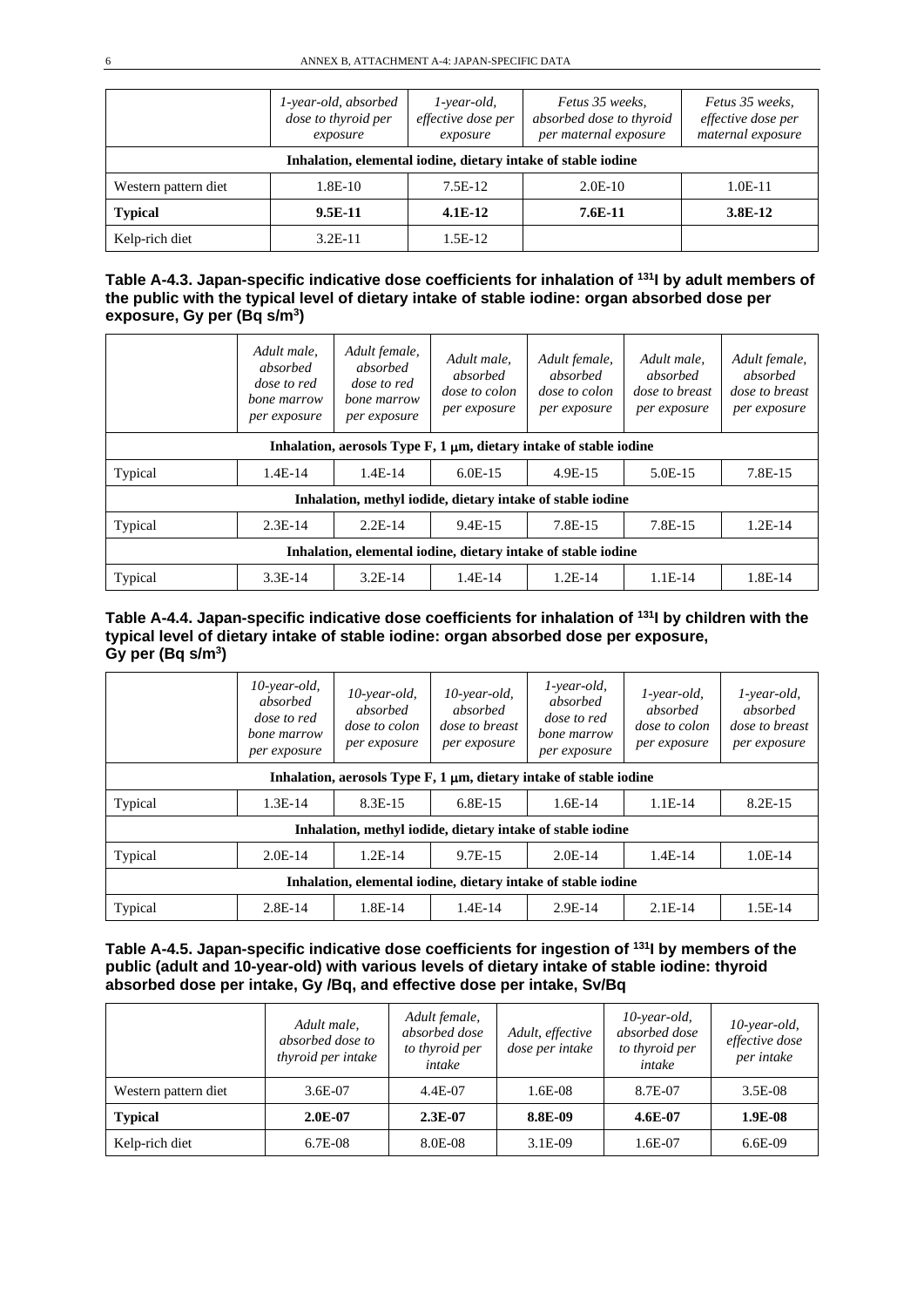|                      | 1-year-old, absorbed<br>dose to thyroid per<br>exposure       | $1$ -year-old,<br>effective dose per<br>exposure | Fetus 35 weeks,<br>absorbed dose to thyroid<br>per maternal exposure | Fetus 35 weeks,<br>effective dose per<br>maternal exposure |  |  |  |  |  |
|----------------------|---------------------------------------------------------------|--------------------------------------------------|----------------------------------------------------------------------|------------------------------------------------------------|--|--|--|--|--|
|                      | Inhalation, elemental iodine, dietary intake of stable iodine |                                                  |                                                                      |                                                            |  |  |  |  |  |
| Western pattern diet | 1.8E-10                                                       | $7.5E-12$                                        | $2.0E-10$                                                            | $1.0E-11$                                                  |  |  |  |  |  |
| <b>Typical</b>       | $9.5E-11$                                                     | $4.1E-12$                                        | 7.6E-11                                                              | 3.8E-12                                                    |  |  |  |  |  |
| Kelp-rich diet       | $3.2E-11$                                                     | 1.5E-12                                          |                                                                      |                                                            |  |  |  |  |  |

| Table A-4.3. Japan-specific indicative dose coefficients for inhalation of <sup>131</sup> l by adult members of |
|-----------------------------------------------------------------------------------------------------------------|
| the public with the typical level of dietary intake of stable iodine: organ absorbed dose per                   |
| exposure, Gy per $(Bq \, s/m^3)$                                                                                |

|                                                                                 | Adult male.<br>absorbed<br><i>dose to red</i><br>bone marrow<br>per exposure | Adult female,<br>absorbed<br>dose to red<br>bone marrow<br>per exposure | Adult male.<br>absorbed<br>dose to colon<br>per exposure | Adult female,<br>absorbed<br>dose to colon<br>per exposure | Adult male.<br>absorbed<br><i>dose to breast</i><br>per exposure | Adult female,<br>absorbed<br>dose to breast<br>per exposure |  |  |
|---------------------------------------------------------------------------------|------------------------------------------------------------------------------|-------------------------------------------------------------------------|----------------------------------------------------------|------------------------------------------------------------|------------------------------------------------------------------|-------------------------------------------------------------|--|--|
| Inhalation, aerosols Type $F$ , 1 $\mu$ m, dietary intake of stable iodine      |                                                                              |                                                                         |                                                          |                                                            |                                                                  |                                                             |  |  |
| Typical                                                                         | $1.4E-14$                                                                    | $1.4E-14$                                                               | $6.0E-15$                                                | 4.9E-15                                                    | 5.0E-15                                                          | 7.8E-15                                                     |  |  |
| Inhalation, methyl iodide, dietary intake of stable iodine                      |                                                                              |                                                                         |                                                          |                                                            |                                                                  |                                                             |  |  |
| Typical<br>$2.3E-14$<br>$2.2E-14$<br>9.4E-15<br>7.8E-15<br>$1.2E-14$<br>7.8E-15 |                                                                              |                                                                         |                                                          |                                                            |                                                                  |                                                             |  |  |
| Inhalation, elemental iodine, dietary intake of stable iodine                   |                                                                              |                                                                         |                                                          |                                                            |                                                                  |                                                             |  |  |
| Typical                                                                         | $3.3E-14$                                                                    | $3.2E-14$                                                               | $1.4E-14$                                                | $1.2E-14$                                                  | $1.1E-14$                                                        | 1.8E-14                                                     |  |  |

#### **Table A-4.4. Japan-specific indicative dose coefficients for inhalation of 131I by children with the typical level of dietary intake of stable iodine: organ absorbed dose per exposure, Gy per (Bq s/m3)**

|                                                                            | 10-year-old,<br>absorbed<br>dose to red<br>bone marrow<br>per exposure | $10$ -year-old,<br>absorbed<br>dose to colon<br>per exposure | $10$ -year-old,<br>absorbed<br><i>dose to breast</i><br>per exposure | $1$ -year-old,<br>absorbed<br>dose to red<br>bone marrow<br>per exposure | $1$ -year-old,<br>absorbed<br>dose to colon<br>per exposure | $1$ -year-old,<br>absorbed<br>dose to breast<br>per exposure |  |  |
|----------------------------------------------------------------------------|------------------------------------------------------------------------|--------------------------------------------------------------|----------------------------------------------------------------------|--------------------------------------------------------------------------|-------------------------------------------------------------|--------------------------------------------------------------|--|--|
| Inhalation, aerosols Type $F$ , 1 $\mu$ m, dietary intake of stable iodine |                                                                        |                                                              |                                                                      |                                                                          |                                                             |                                                              |  |  |
| Typical                                                                    | $1.3E-14$                                                              | 8.3E-15                                                      | 6.8E-15                                                              | $1.6E-14$                                                                | $1.1E-14$                                                   | 8.2E-15                                                      |  |  |
| Inhalation, methyl iodide, dietary intake of stable iodine                 |                                                                        |                                                              |                                                                      |                                                                          |                                                             |                                                              |  |  |
| Typical                                                                    | $2.0E-14$                                                              | $1.2E-14$                                                    | $9.7E-15$                                                            | $2.0E-14$                                                                | $1.4E-14$                                                   | $1.0E-14$                                                    |  |  |
| Inhalation, elemental iodine, dietary intake of stable iodine              |                                                                        |                                                              |                                                                      |                                                                          |                                                             |                                                              |  |  |
| Typical                                                                    | $2.8E-14$                                                              | 1.8E-14                                                      | $1.4E-14$                                                            | $2.9E-14$                                                                | $2.1E-14$                                                   | $1.5E-14$                                                    |  |  |

#### **Table A-4.5. Japan-specific indicative dose coefficients for ingestion of 131I by members of the public (adult and 10-year-old) with various levels of dietary intake of stable iodine: thyroid absorbed dose per intake, Gy /Bq, and effective dose per intake, Sv/Bq**

|                      | Adult male,<br>absorbed dose to<br>thyroid per intake | Adult female,<br>absorbed dose<br>to thyroid per<br>intake | Adult, effective<br>dose per intake | $10$ -year-old,<br>absorbed dose<br>to thyroid per<br>intake | $10$ -year-old,<br>effective dose<br>per intake |
|----------------------|-------------------------------------------------------|------------------------------------------------------------|-------------------------------------|--------------------------------------------------------------|-------------------------------------------------|
| Western pattern diet | 3.6E-07                                               | 4.4E-07                                                    | $1.6E-08$                           | 8.7E-07                                                      | $3.5E-08$                                       |
| <b>Typical</b>       | $2.0E-07$                                             | $2.3E-07$                                                  | 8.8E-09                             | $4.6E-07$                                                    | 1.9E-08                                         |
| Kelp-rich diet       | 6.7E-08                                               | 8.0E-08                                                    | $3.1E-09$                           | 1.6E-07                                                      | $6.6E-09$                                       |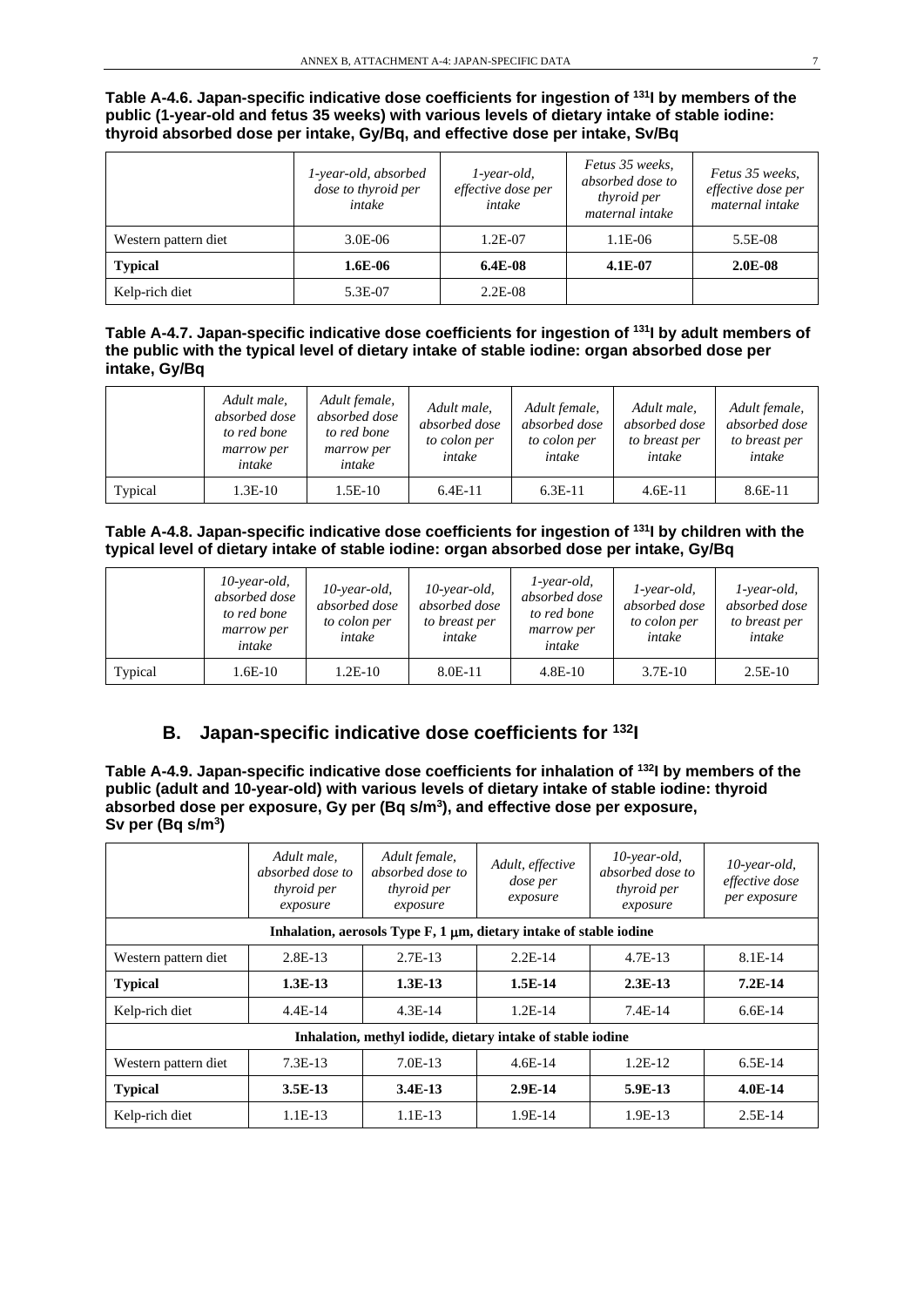**Table A-4.6. Japan-specific indicative dose coefficients for ingestion of 131I by members of the public (1-year-old and fetus 35 weeks) with various levels of dietary intake of stable iodine: thyroid absorbed dose per intake, Gy/Bq, and effective dose per intake, Sv/Bq**

|                      | 1-year-old, absorbed<br>dose to thyroid per<br>intake | $1$ -year-old,<br>effective dose per<br>intake | Fetus 35 weeks,<br>absorbed dose to<br><i>thyroid per</i><br>maternal intake | Fetus 35 weeks.<br>effective dose per<br>maternal intake |
|----------------------|-------------------------------------------------------|------------------------------------------------|------------------------------------------------------------------------------|----------------------------------------------------------|
| Western pattern diet | $3.0E-06$                                             | 1.2E-07                                        | 1.1E-06                                                                      | 5.5E-08                                                  |
| <b>Typical</b>       | 1.6E-06                                               | $6.4E-08$                                      | $4.1E-07$                                                                    | $2.0E-08$                                                |
| Kelp-rich diet       | 5.3E-07                                               | $2.2E-08$                                      |                                                                              |                                                          |

#### **Table A-4.7. Japan-specific indicative dose coefficients for ingestion of 131I by adult members of the public with the typical level of dietary intake of stable iodine: organ absorbed dose per intake, Gy/Bq**

|         | Adult male,<br>absorbed dose<br>to red bone<br>marrow per<br>intake | Adult female,<br>absorbed dose<br>to red bone<br>marrow per<br>intake | Adult male,<br>absorbed dose<br>to colon per<br>intake | Adult female,<br>absorbed dose<br>to colon per<br>intake | Adult male,<br>absorbed dose<br>to breast per<br>intake | Adult female,<br>absorbed dose<br>to breast per<br>intake |
|---------|---------------------------------------------------------------------|-----------------------------------------------------------------------|--------------------------------------------------------|----------------------------------------------------------|---------------------------------------------------------|-----------------------------------------------------------|
| Typical | $1.3E-10$                                                           | 1.5E-10                                                               | $6.4E-11$                                              | $6.3E-11$                                                | $4.6E-11$                                               | 8.6E-11                                                   |

#### **Table A-4.8. Japan-specific indicative dose coefficients for ingestion of 131I by children with the typical level of dietary intake of stable iodine: organ absorbed dose per intake, Gy/Bq**

|         | $10$ -year-old,<br>absorbed dose<br>to red bone<br>marrow per<br>intake | $10$ -year-old,<br>absorbed dose<br>to colon per<br>intake | $10$ -year-old,<br>absorbed dose<br>to breast per<br>intake | $1$ -year-old,<br>absorbed dose<br>to red bone<br>marrow per<br>intake | $1$ -year-old,<br>absorbed dose<br>to colon per<br>intake | <i>l</i> -year-old,<br>absorbed dose<br>to breast per<br>intake |
|---------|-------------------------------------------------------------------------|------------------------------------------------------------|-------------------------------------------------------------|------------------------------------------------------------------------|-----------------------------------------------------------|-----------------------------------------------------------------|
| Typical | 1.6E-10                                                                 | 1.2E-10                                                    | 8.0E-11                                                     | $4.8E-10$                                                              | $3.7E-10$                                                 | $2.5E-10$                                                       |

## **B. Japan-specific indicative dose coefficients for 132I**

**Table A-4.9. Japan-specific indicative dose coefficients for inhalation of 132I by members of the public (adult and 10-year-old) with various levels of dietary intake of stable iodine: thyroid absorbed dose per exposure, Gy per (Bq s/m3), and effective dose per exposure, Sv per (Bq s/m3)**

|                      | Adult male,<br>absorbed dose to<br><i>thyroid per</i><br>exposure          | Adult female,<br>absorbed dose to<br><i>thyroid per</i><br>exposure | Adult, effective<br><i>dose per</i><br>exposure | $10$ -year-old,<br>absorbed dose to<br><i>thyroid per</i><br>exposure | $10$ -year-old,<br>effective dose<br>per exposure |  |  |  |  |  |
|----------------------|----------------------------------------------------------------------------|---------------------------------------------------------------------|-------------------------------------------------|-----------------------------------------------------------------------|---------------------------------------------------|--|--|--|--|--|
|                      | Inhalation, aerosols Type $F$ , 1 $\mu$ m, dietary intake of stable iodine |                                                                     |                                                 |                                                                       |                                                   |  |  |  |  |  |
| Western pattern diet | $2.8E-13$                                                                  | $2.7E-13$                                                           | $2.2E-14$                                       | 4.7E-13                                                               | 8.1E-14                                           |  |  |  |  |  |
| <b>Typical</b>       | $1.3E-13$                                                                  | $1.3E-13$                                                           | $1.5E-14$                                       | $2.3E-13$                                                             | $7.2E-14$                                         |  |  |  |  |  |
| Kelp-rich diet       | $4.4E-14$                                                                  | $4.3E-14$                                                           | $1.2E-14$                                       | $7.4E-14$                                                             | $6.6E-14$                                         |  |  |  |  |  |
|                      | Inhalation, methyl iodide, dietary intake of stable iodine                 |                                                                     |                                                 |                                                                       |                                                   |  |  |  |  |  |
| Western pattern diet | $7.3E-13$                                                                  | $7.0E-13$                                                           | $4.6E-14$                                       | $1.2E-12$                                                             | $6.5E-14$                                         |  |  |  |  |  |
| <b>Typical</b>       | $3.5E-13$                                                                  | $3.4E-13$                                                           | $2.9E-14$                                       | $5.9E-13$                                                             | $4.0E-14$                                         |  |  |  |  |  |
| Kelp-rich diet       | $1.1E-13$                                                                  | $1.1E-13$                                                           | 1.9E-14                                         | $1.9E-13$                                                             | $2.5E-14$                                         |  |  |  |  |  |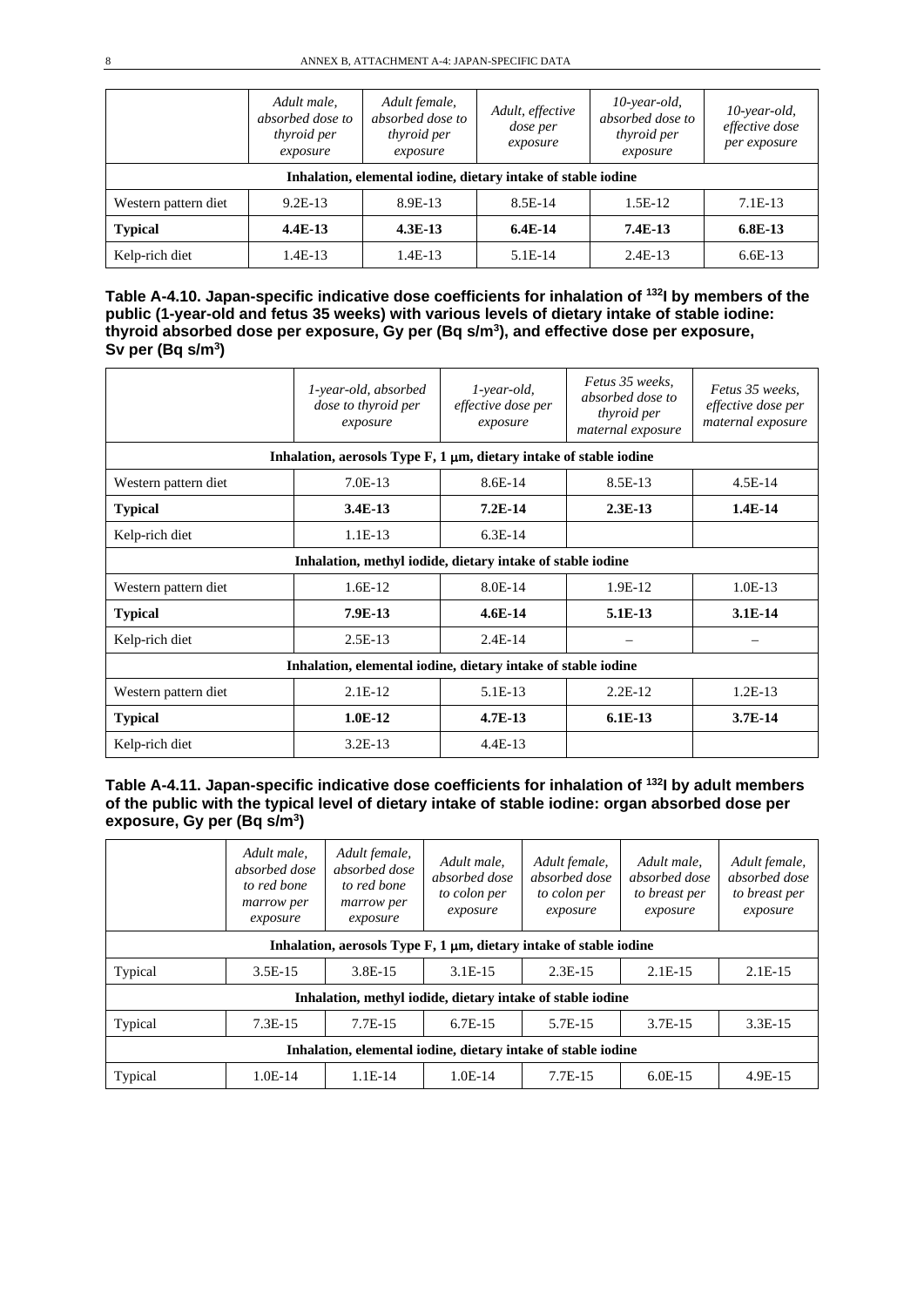|                      | Adult male,<br>absorbed dose to<br>thyroid per<br>exposure    | Adult female,<br>absorbed dose to<br><i>thyroid per</i><br>exposure | Adult, effective<br><i>dose per</i><br>exposure | $10$ -year-old,<br>absorbed dose to<br><i>thyroid per</i><br>exposure | $10$ -year-old,<br>effective dose<br>per exposure |  |  |
|----------------------|---------------------------------------------------------------|---------------------------------------------------------------------|-------------------------------------------------|-----------------------------------------------------------------------|---------------------------------------------------|--|--|
|                      | Inhalation, elemental iodine, dietary intake of stable iodine |                                                                     |                                                 |                                                                       |                                                   |  |  |
| Western pattern diet | $9.2E-13$                                                     | 8.9E-13                                                             | 8.5E-14                                         | $1.5E-12$                                                             | $7.1E-13$                                         |  |  |
| <b>Typical</b>       | $4.4E-13$                                                     | $4.3E-13$                                                           | $6.4E-14$                                       | $7.4E-13$                                                             | $6.8E-13$                                         |  |  |
| Kelp-rich diet       | $1.4E-13$                                                     | $1.4E-13$                                                           | 5.1E-14                                         | $2.4E-13$                                                             | $6.6E-13$                                         |  |  |

**Table A-4.10. Japan-specific indicative dose coefficients for inhalation of 132I by members of the public (1-year-old and fetus 35 weeks) with various levels of dietary intake of stable iodine: thyroid absorbed dose per exposure, Gy per (Bq s/m3), and effective dose per exposure, Sv per (Bq s/m3)**

|                                                               | 1-year-old, absorbed<br>dose to thyroid per<br>exposure                    | $1$ -year-old,<br>effective dose per<br>exposure | Fetus 35 weeks.<br>absorbed dose to<br>thyroid per<br>maternal exposure | Fetus 35 weeks.<br>effective dose per<br>maternal exposure |  |  |  |
|---------------------------------------------------------------|----------------------------------------------------------------------------|--------------------------------------------------|-------------------------------------------------------------------------|------------------------------------------------------------|--|--|--|
|                                                               | Inhalation, aerosols Type $F$ , 1 $\mu$ m, dietary intake of stable iodine |                                                  |                                                                         |                                                            |  |  |  |
| Western pattern diet                                          | $7.0E-13$                                                                  | $8.6E-14$                                        | 8.5E-13                                                                 | $4.5E-14$                                                  |  |  |  |
| <b>Typical</b>                                                | $3.4E-13$                                                                  | $7.2E-14$                                        | $2.3E-13$                                                               | $1.4E-14$                                                  |  |  |  |
| Kelp-rich diet                                                | $1.1E-13$                                                                  | $6.3E-14$                                        |                                                                         |                                                            |  |  |  |
|                                                               | Inhalation, methyl iodide, dietary intake of stable iodine                 |                                                  |                                                                         |                                                            |  |  |  |
| Western pattern diet                                          | $1.6E-12$                                                                  | 8.0E-14                                          | 1.9E-12                                                                 | $1.0E-13$                                                  |  |  |  |
| <b>Typical</b>                                                | 7.9E-13                                                                    | $4.6E-14$                                        | $5.1E-13$                                                               | $3.1E-14$                                                  |  |  |  |
| Kelp-rich diet                                                | $2.5E-13$                                                                  | $2.4E-14$                                        |                                                                         |                                                            |  |  |  |
| Inhalation, elemental iodine, dietary intake of stable iodine |                                                                            |                                                  |                                                                         |                                                            |  |  |  |
| Western pattern diet                                          | $2.1E-12$                                                                  | 5.1E-13                                          | $2.2E-12$                                                               | $1.2E-13$                                                  |  |  |  |
| <b>Typical</b>                                                | $1.0E-12$                                                                  | $4.7E-13$                                        | $6.1E-13$                                                               | $3.7E-14$                                                  |  |  |  |
| Kelp-rich diet                                                | $3.2E-13$                                                                  | $4.4E-13$                                        |                                                                         |                                                            |  |  |  |

#### **Table A-4.11. Japan-specific indicative dose coefficients for inhalation of 132I by adult members of the public with the typical level of dietary intake of stable iodine: organ absorbed dose per exposure, Gy per (Bq s/m3)**

|                                                                            | Adult male,<br>absorbed dose<br>to red bone<br>marrow per<br>exposure | Adult female,<br>absorbed dose<br>to red bone<br>marrow per<br>exposure | Adult male,<br>absorbed dose<br>to colon per<br>exposure | Adult female,<br>absorbed dose<br>to colon per<br>exposure | Adult male.<br>absorbed dose<br>to breast per<br>exposure | Adult female,<br>absorbed dose<br>to breast per<br>exposure |
|----------------------------------------------------------------------------|-----------------------------------------------------------------------|-------------------------------------------------------------------------|----------------------------------------------------------|------------------------------------------------------------|-----------------------------------------------------------|-------------------------------------------------------------|
| Inhalation, aerosols Type $F$ , 1 $\mu$ m, dietary intake of stable iodine |                                                                       |                                                                         |                                                          |                                                            |                                                           |                                                             |
| Typical                                                                    | $3.5E-15$                                                             | 3.8E-15                                                                 | $3.1E-15$                                                | $2.3E-15$                                                  | $2.1E-15$                                                 | $2.1E-15$                                                   |
|                                                                            |                                                                       |                                                                         |                                                          | Inhalation, methyl iodide, dietary intake of stable iodine |                                                           |                                                             |
| Typical                                                                    | $7.3E-15$                                                             | $7.7E-15$                                                               | $6.7E-15$                                                | 5.7E-15                                                    | $3.7E-15$                                                 | $3.3E-15$                                                   |
| Inhalation, elemental iodine, dietary intake of stable iodine              |                                                                       |                                                                         |                                                          |                                                            |                                                           |                                                             |
| Typical                                                                    | $1.0E-14$                                                             | $1.1E-14$                                                               | $1.0E-14$                                                | $7.7E-15$                                                  | $6.0E-15$                                                 | 4.9E-15                                                     |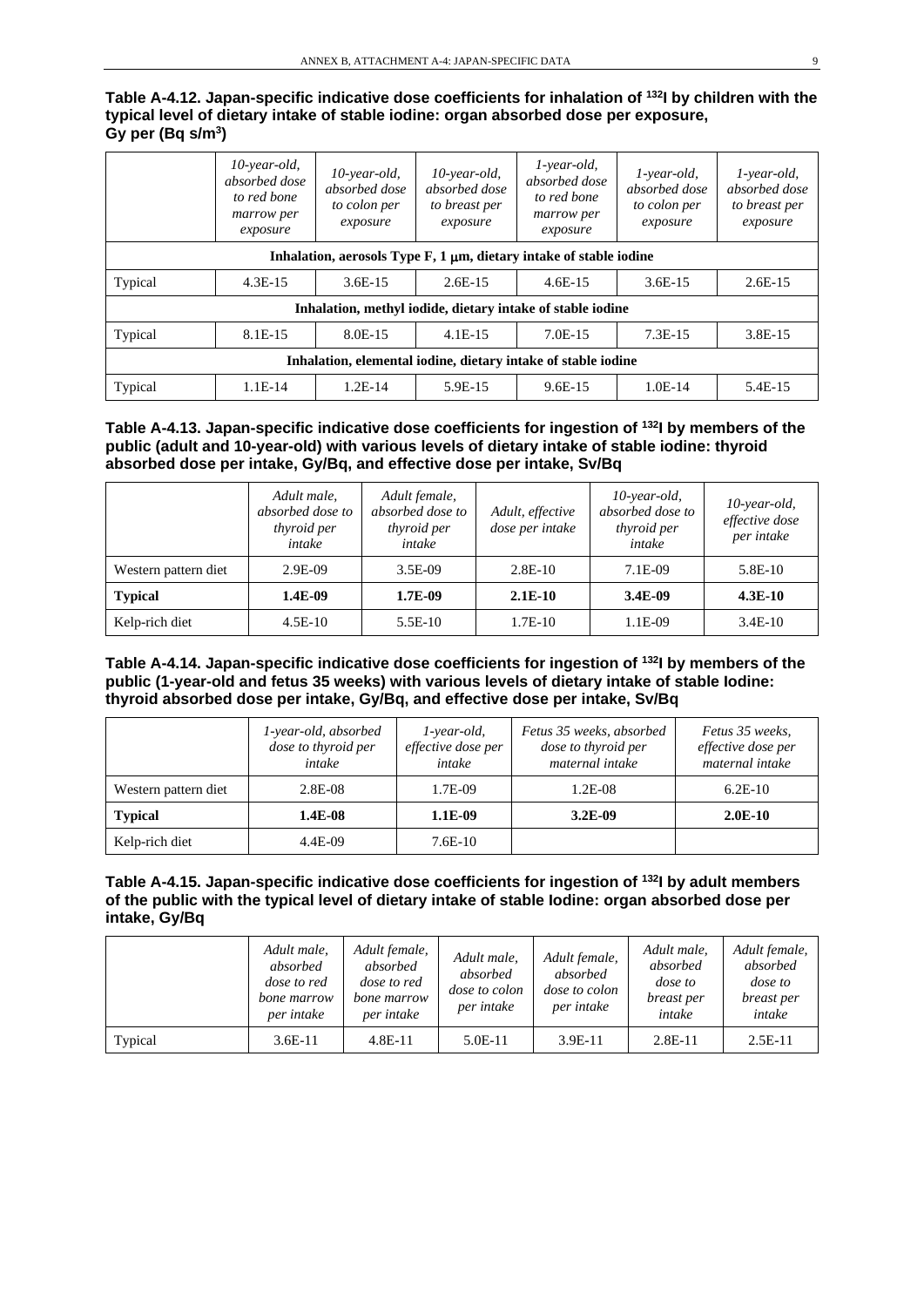**Table A-4.12. Japan-specific indicative dose coefficients for inhalation of 132I by children with the typical level of dietary intake of stable iodine: organ absorbed dose per exposure, Gy per (Bq s/m3)**

|                                                                            | $10$ -year-old,<br>absorbed dose<br>to red bone<br>marrow per<br>exposure | $10$ -year-old,<br>absorbed dose<br>to colon per<br>exposure | $10$ -year-old,<br>absorbed dose<br>to breast per<br>exposure | $1$ -year-old,<br>absorbed dose<br>to red bone<br>marrow per<br>exposure | $1$ -year-old,<br>absorbed dose<br>to colon per<br>exposure | $1$ -year-old,<br>absorbed dose<br>to breast per<br>exposure |
|----------------------------------------------------------------------------|---------------------------------------------------------------------------|--------------------------------------------------------------|---------------------------------------------------------------|--------------------------------------------------------------------------|-------------------------------------------------------------|--------------------------------------------------------------|
| Inhalation, aerosols Type $F$ , 1 $\mu$ m, dietary intake of stable iodine |                                                                           |                                                              |                                                               |                                                                          |                                                             |                                                              |
| Typical                                                                    | $4.3E-15$                                                                 | $3.6E-15$                                                    | $2.6E-15$                                                     | $4.6E-15$                                                                | $3.6E-15$                                                   | $2.6E-15$                                                    |
|                                                                            |                                                                           |                                                              |                                                               | Inhalation, methyl iodide, dietary intake of stable iodine               |                                                             |                                                              |
| Typical                                                                    | $8.1E-15$                                                                 | 8.0E-15                                                      | $4.1E-15$                                                     | $7.0E-15$                                                                | $7.3E-15$                                                   | 3.8E-15                                                      |
| Inhalation, elemental iodine, dietary intake of stable iodine              |                                                                           |                                                              |                                                               |                                                                          |                                                             |                                                              |
| Typical                                                                    | $1.1E-14$                                                                 | $1.2E-14$                                                    | 5.9E-15                                                       | $9.6E-15$                                                                | $1.0E-14$                                                   | 5.4E-15                                                      |

#### **Table A-4.13. Japan-specific indicative dose coefficients for ingestion of 132I by members of the public (adult and 10-year-old) with various levels of dietary intake of stable iodine: thyroid absorbed dose per intake, Gy/Bq, and effective dose per intake, Sv/Bq**

|                      | Adult male,<br>absorbed dose to<br>thyroid per<br>intake | Adult female,<br>absorbed dose to<br><i>thyroid per</i><br>intake | Adult, effective<br>dose per intake | $10$ -year-old,<br>absorbed dose to<br>thyroid per<br>intake | $10$ -year-old,<br>effective dose<br>per intake |
|----------------------|----------------------------------------------------------|-------------------------------------------------------------------|-------------------------------------|--------------------------------------------------------------|-------------------------------------------------|
| Western pattern diet | $2.9E-09$                                                | $3.5E-09$                                                         | $2.8E-10$                           | 7.1E-09                                                      | $5.8E-10$                                       |
| <b>Typical</b>       | 1.4E-09                                                  | 1.7E-09                                                           | $2.1E-10$                           | $3.4E-09$                                                    | $4.3E-10$                                       |
| Kelp-rich diet       | $4.5E-10$                                                | $5.5E-10$                                                         | $1.7E-10$                           | 1.1E-09                                                      | $3.4E-10$                                       |

#### **Table A-4.14. Japan-specific indicative dose coefficients for ingestion of 132I by members of the public (1-year-old and fetus 35 weeks) with various levels of dietary intake of stable Iodine: thyroid absorbed dose per intake, Gy/Bq, and effective dose per intake, Sv/Bq**

|                      | 1-year-old, absorbed<br>dose to thyroid per<br>intake | $1$ -year-old,<br>effective dose per<br>intake | Fetus 35 weeks, absorbed<br>dose to thyroid per<br>maternal intake | Fetus 35 weeks,<br>effective dose per<br>maternal intake |
|----------------------|-------------------------------------------------------|------------------------------------------------|--------------------------------------------------------------------|----------------------------------------------------------|
| Western pattern diet | 2.8E-08                                               | 1.7E-09                                        | $1.2E-08$                                                          | $6.2E-10$                                                |
| <b>Typical</b>       | 1.4E-08                                               | 1.1E-09                                        | $3.2E-09$                                                          | $2.0E-10$                                                |
| Kelp-rich diet       | 4.4E-09                                               | $7.6E-10$                                      |                                                                    |                                                          |

#### **Table A-4.15. Japan-specific indicative dose coefficients for ingestion of 132I by adult members of the public with the typical level of dietary intake of stable Iodine: organ absorbed dose per intake, Gy/Bq**

|         | Adult male,<br>absorbed<br><i>dose to red</i><br>bone marrow<br>per intake | Adult female,<br>absorbed<br><i>dose to red</i><br>bone marrow<br>per intake | Adult male,<br>absorbed<br><i>dose to colon</i><br>per intake | Adult female,<br>absorbed<br><i>dose to colon</i><br>per intake | Adult male,<br>absorbed<br>dose to<br>breast per<br>intake | Adult female,<br>absorbed<br>dose to<br>breast per<br>intake |
|---------|----------------------------------------------------------------------------|------------------------------------------------------------------------------|---------------------------------------------------------------|-----------------------------------------------------------------|------------------------------------------------------------|--------------------------------------------------------------|
| Typical | $3.6E-11$                                                                  | $4.8E-11$                                                                    | 5.0E-11                                                       | $3.9E-11$                                                       | $2.8E-11$                                                  | $2.5E-11$                                                    |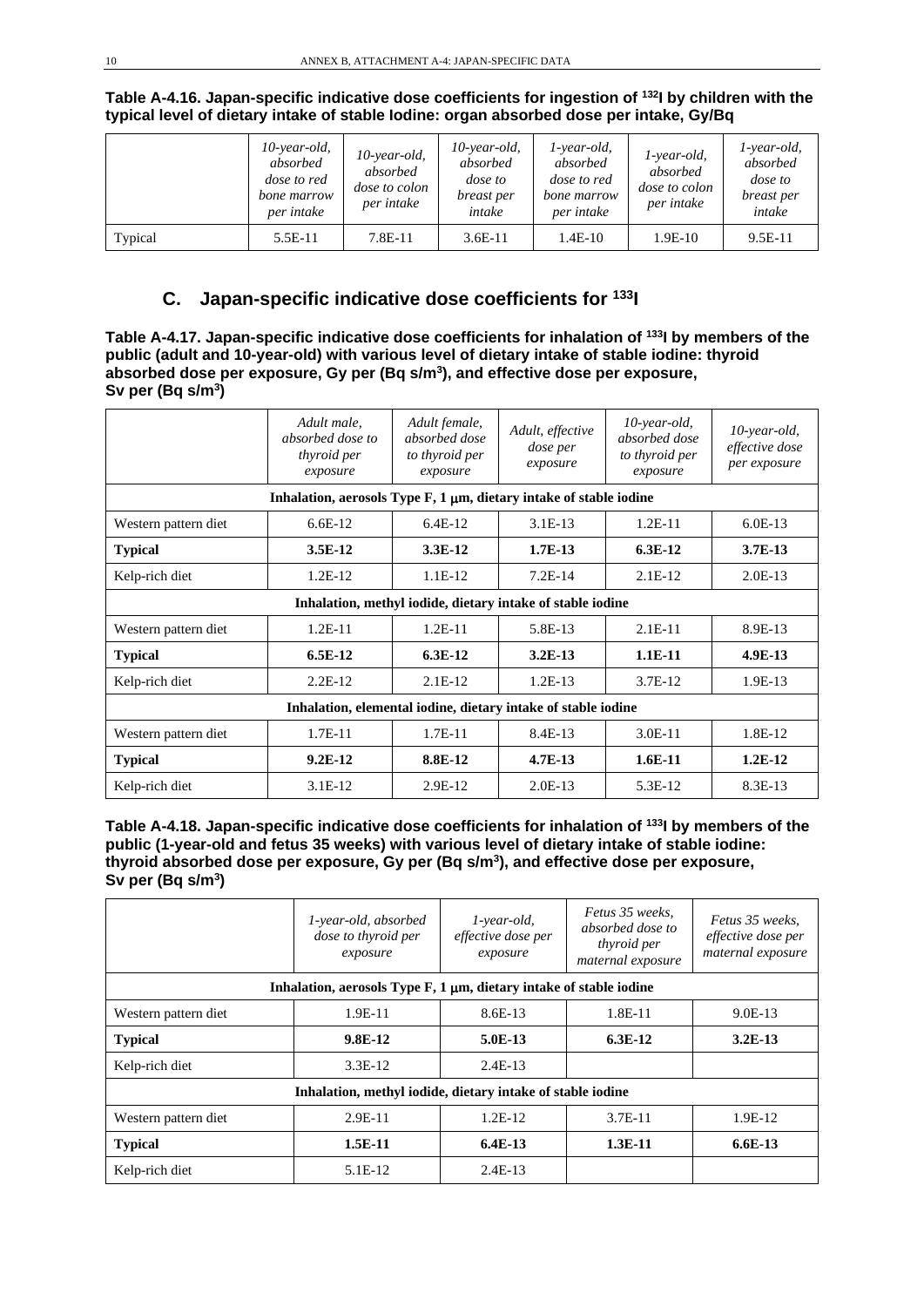|         | $10$ -year-old,<br>absorbed<br><i>dose to red</i><br>bone marrow<br>per intake | $10$ -year-old,<br>absorbed<br><i>dose to colon</i><br>per intake | $10$ -year-old,<br>absorbed<br>dose to<br>breast per<br>intake | l-year-old,<br>absorbed<br><i>dose to red</i><br>bone marrow<br>per intake | 1-year-old,<br>absorbed<br><i>dose to colon</i><br>per intake | $1$ -year-old,<br>absorbed<br><i>dose</i> to<br>breast per<br>intake |
|---------|--------------------------------------------------------------------------------|-------------------------------------------------------------------|----------------------------------------------------------------|----------------------------------------------------------------------------|---------------------------------------------------------------|----------------------------------------------------------------------|
| Typical | 5.5E-11                                                                        | 7.8E-11                                                           | $3.6E-11$                                                      | $1.4E-10$                                                                  | $1.9E-10$                                                     | $9.5E-11$                                                            |

**Table A-4.16. Japan-specific indicative dose coefficients for ingestion of 132I by children with the typical level of dietary intake of stable Iodine: organ absorbed dose per intake, Gy/Bq**

# **C. Japan-specific indicative dose coefficients for 133I**

**Table A-4.17. Japan-specific indicative dose coefficients for inhalation of 133I by members of the public (adult and 10-year-old) with various level of dietary intake of stable iodine: thyroid absorbed dose per exposure, Gy per (Bq s/m3), and effective dose per exposure, Sv per (Bq s/m3)**

|                                                               | Adult male,<br>absorbed dose to<br><i>thyroid per</i><br>exposure          | Adult female,<br>absorbed dose<br>to thyroid per<br>exposure | Adult, effective<br><i>dose per</i><br>exposure            | $10$ -year-old,<br>absorbed dose<br>to thyroid per<br>exposure | 10-year-old,<br>effective dose<br>per exposure |
|---------------------------------------------------------------|----------------------------------------------------------------------------|--------------------------------------------------------------|------------------------------------------------------------|----------------------------------------------------------------|------------------------------------------------|
|                                                               | Inhalation, aerosols Type $F$ , 1 $\mu$ m, dietary intake of stable iodine |                                                              |                                                            |                                                                |                                                |
| Western pattern diet                                          | $6.6E-12$                                                                  | $6.4E-12$                                                    | $3.1E-13$                                                  | $1.2E-11$                                                      | $6.0E-13$                                      |
| <b>Typical</b>                                                | $3.5E-12$                                                                  | 3.3E-12                                                      | $1.7E-13$                                                  | $6.3E-12$                                                      | $3.7E-13$                                      |
| Kelp-rich diet                                                | $1.2E-12$                                                                  | $1.1E-12$                                                    | $7.2E-14$                                                  | $2.1E-12$                                                      | $2.0E-13$                                      |
|                                                               |                                                                            |                                                              | Inhalation, methyl iodide, dietary intake of stable iodine |                                                                |                                                |
| Western pattern diet                                          | $1.2E-11$                                                                  | $1.2E-11$                                                    | 5.8E-13                                                    | $2.1E-11$                                                      | 8.9E-13                                        |
| <b>Typical</b>                                                | $6.5E-12$                                                                  | $6.3E-12$                                                    | $3.2E-13$                                                  | $1.1E-11$                                                      | 4.9E-13                                        |
| Kelp-rich diet                                                | $2.2E-12$                                                                  | $2.1E-12$                                                    | $1.2E-13$                                                  | $3.7E-12$                                                      | 1.9E-13                                        |
| Inhalation, elemental iodine, dietary intake of stable iodine |                                                                            |                                                              |                                                            |                                                                |                                                |
| Western pattern diet                                          | $1.7E-11$                                                                  | $1.7E-11$                                                    | 8.4E-13                                                    | $3.0E-11$                                                      | 1.8E-12                                        |
| <b>Typical</b>                                                | $9.2E-12$                                                                  | 8.8E-12                                                      | $4.7E-13$                                                  | $1.6E-11$                                                      | $1.2E-12$                                      |
| Kelp-rich diet                                                | $3.1E-12$                                                                  | 2.9E-12                                                      | $2.0E-13$                                                  | 5.3E-12                                                        | 8.3E-13                                        |

**Table A-4.18. Japan-specific indicative dose coefficients for inhalation of 133I by members of the public (1-year-old and fetus 35 weeks) with various level of dietary intake of stable iodine: thyroid absorbed dose per exposure, Gy per (Bq s/m3), and effective dose per exposure, Sv per (Bq s/m3)**

|                      | 1-year-old, absorbed<br>dose to thyroid per<br>exposure                    | $1$ -year-old,<br>effective dose per<br>exposure | Fetus 35 weeks,<br>absorbed dose to<br><i>thyroid per</i><br>maternal exposure | Fetus 35 weeks.<br>effective dose per<br>maternal exposure |  |  |
|----------------------|----------------------------------------------------------------------------|--------------------------------------------------|--------------------------------------------------------------------------------|------------------------------------------------------------|--|--|
|                      | Inhalation, aerosols Type $F$ , 1 $\mu$ m, dietary intake of stable iodine |                                                  |                                                                                |                                                            |  |  |
| Western pattern diet | 1.9E-11                                                                    | 8.6E-13                                          | $1.8E-11$                                                                      | $9.0E-13$                                                  |  |  |
| <b>Typical</b>       | 9.8E-12                                                                    | $5.0E-13$                                        | $6.3E-12$                                                                      | $3.2E-13$                                                  |  |  |
| Kelp-rich diet       | $3.3E-12$                                                                  | $2.4E-13$                                        |                                                                                |                                                            |  |  |
|                      | Inhalation, methyl iodide, dietary intake of stable iodine                 |                                                  |                                                                                |                                                            |  |  |
| Western pattern diet | $2.9E-11$                                                                  | $1.2E-12$                                        | $3.7E-11$                                                                      | 1.9E-12                                                    |  |  |
| <b>Typical</b>       | $1.5E-11$                                                                  | $6.4E-13$                                        | $1.3E-11$                                                                      | $6.6E-13$                                                  |  |  |
| Kelp-rich diet       | 5.1E-12                                                                    | $2.4E-13$                                        |                                                                                |                                                            |  |  |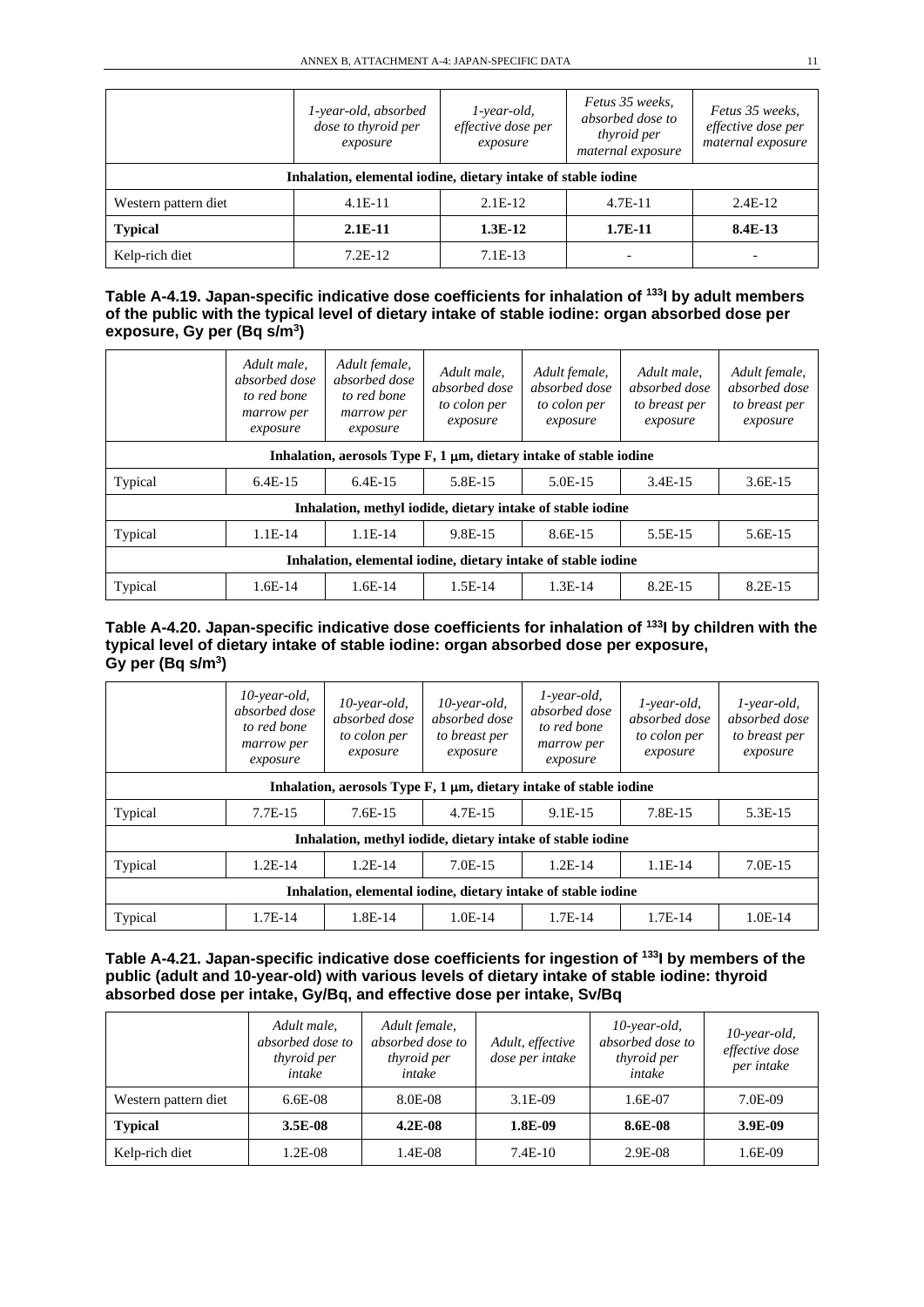|                                                               | 1-year-old, absorbed<br>dose to thyroid per<br>exposure | $1$ -year-old,<br>effective dose per<br>exposure | Fetus 35 weeks,<br>absorbed dose to<br>thyroid per<br>maternal exposure | Fetus 35 weeks.<br>effective dose per<br>maternal exposure |  |
|---------------------------------------------------------------|---------------------------------------------------------|--------------------------------------------------|-------------------------------------------------------------------------|------------------------------------------------------------|--|
| Inhalation, elemental iodine, dietary intake of stable iodine |                                                         |                                                  |                                                                         |                                                            |  |
| Western pattern diet                                          | $4.1E-11$                                               | $2.1E-12$                                        | $4.7E-11$                                                               | $2.4E-12$                                                  |  |
| <b>Typical</b>                                                | $2.1E-11$                                               | $1.3E-12$                                        | $1.7E-11$                                                               | 8.4E-13                                                    |  |
| Kelp-rich diet                                                | $7.2E-12$                                               | $7.1E-13$                                        |                                                                         |                                                            |  |

| Table A-4.19. Japan-specific indicative dose coefficients for inhalation of <sup>133</sup> l by adult members |
|---------------------------------------------------------------------------------------------------------------|
| of the public with the typical level of dietary intake of stable iodine: organ absorbed dose per              |
| exposure, Gy per $(Bq s/m3)$                                                                                  |

|                                                               | Adult male,<br>absorbed dose<br>to red bone<br>marrow per<br>exposure      | Adult female,<br>absorbed dose<br>to red bone<br>marrow per<br>exposure | Adult male,<br>absorbed dose<br>to colon per<br>exposure   | Adult female,<br>absorbed dose<br>to colon per<br>exposure | Adult male.<br>absorbed dose<br>to breast per<br>exposure | Adult female,<br>absorbed dose<br>to breast per<br>exposure |  |  |
|---------------------------------------------------------------|----------------------------------------------------------------------------|-------------------------------------------------------------------------|------------------------------------------------------------|------------------------------------------------------------|-----------------------------------------------------------|-------------------------------------------------------------|--|--|
|                                                               | Inhalation, aerosols Type $F$ , 1 $\mu$ m, dietary intake of stable iodine |                                                                         |                                                            |                                                            |                                                           |                                                             |  |  |
| Typical                                                       | $6.4E-15$                                                                  | $6.4E-15$                                                               | 5.8E-15                                                    | 5.0E-15                                                    | $3.4E-15$                                                 | $3.6E-15$                                                   |  |  |
|                                                               |                                                                            |                                                                         | Inhalation, methyl iodide, dietary intake of stable iodine |                                                            |                                                           |                                                             |  |  |
| Typical                                                       | $1.1E-14$                                                                  | $1.1E-14$                                                               | 9.8E-15                                                    | 8.6E-15                                                    | 5.5E-15                                                   | 5.6E-15                                                     |  |  |
| Inhalation, elemental iodine, dietary intake of stable iodine |                                                                            |                                                                         |                                                            |                                                            |                                                           |                                                             |  |  |
| Typical                                                       | $1.6E-14$                                                                  | $1.6E-14$                                                               | $1.5E-14$                                                  | $1.3E-14$                                                  | $8.2E-15$                                                 | 8.2E-15                                                     |  |  |

#### **Table A-4.20. Japan-specific indicative dose coefficients for inhalation of 133I by children with the typical level of dietary intake of stable iodine: organ absorbed dose per exposure, Gy per (Bq s/m3)**

|                                                               | $10$ -year-old,<br>absorbed dose<br>to red bone<br>marrow per<br>exposure  | $10$ -year-old,<br>absorbed dose<br>to colon per<br>exposure | $10$ -year-old,<br>absorbed dose<br>to breast per<br>exposure | $1$ -year-old,<br>absorbed dose<br>to red bone<br>marrow per<br>exposure | $1$ -year-old,<br>absorbed dose<br>to colon per<br>exposure | $1$ -year-old,<br>absorbed dose<br>to breast per<br>exposure |  |  |
|---------------------------------------------------------------|----------------------------------------------------------------------------|--------------------------------------------------------------|---------------------------------------------------------------|--------------------------------------------------------------------------|-------------------------------------------------------------|--------------------------------------------------------------|--|--|
|                                                               | Inhalation, aerosols Type $F$ , 1 $\mu$ m, dietary intake of stable iodine |                                                              |                                                               |                                                                          |                                                             |                                                              |  |  |
| Typical                                                       | $7.7E-15$                                                                  | $7.6E-15$                                                    | $4.7E-15$                                                     | $9.1E-15$                                                                | 7.8E-15                                                     | 5.3E-15                                                      |  |  |
|                                                               |                                                                            |                                                              |                                                               | Inhalation, methyl iodide, dietary intake of stable iodine               |                                                             |                                                              |  |  |
| Typical                                                       | $1.2E-14$                                                                  | $1.2E-14$                                                    | $7.0E-15$                                                     | $1.2E-14$                                                                | $1.1E-14$                                                   | $7.0E-15$                                                    |  |  |
| Inhalation, elemental iodine, dietary intake of stable iodine |                                                                            |                                                              |                                                               |                                                                          |                                                             |                                                              |  |  |
| Typical                                                       | 1.7E-14                                                                    | 1.8E-14                                                      | $1.0E-14$                                                     | $1.7E-14$                                                                | $1.7E-14$                                                   | $1.0E-14$                                                    |  |  |

#### **Table A-4.21. Japan-specific indicative dose coefficients for ingestion of 133I by members of the public (adult and 10-year-old) with various levels of dietary intake of stable iodine: thyroid absorbed dose per intake, Gy/Bq, and effective dose per intake, Sv/Bq**

|                      | Adult male,<br>absorbed dose to<br>thyroid per<br>intake | Adult female,<br>absorbed dose to<br><i>thyroid per</i><br>intake | Adult, effective<br>dose per intake | $10$ -year-old,<br>absorbed dose to<br>thyroid per<br>intake | $10$ -year-old,<br>effective dose<br>per intake |
|----------------------|----------------------------------------------------------|-------------------------------------------------------------------|-------------------------------------|--------------------------------------------------------------|-------------------------------------------------|
| Western pattern diet | $6.6E-08$                                                | 8.0E-08                                                           | $3.1E-09$                           | 1.6E-07                                                      | 7.0E-09                                         |
| <b>Typical</b>       | $3.5E-08$                                                | $4.2E-08$                                                         | 1.8E-09                             | 8.6E-08                                                      | 3.9E-09                                         |
| Kelp-rich diet       | $1.2E-08$                                                | 1.4E-08                                                           | $7.4E-10$                           | $2.9E-08$                                                    | 1.6E-09                                         |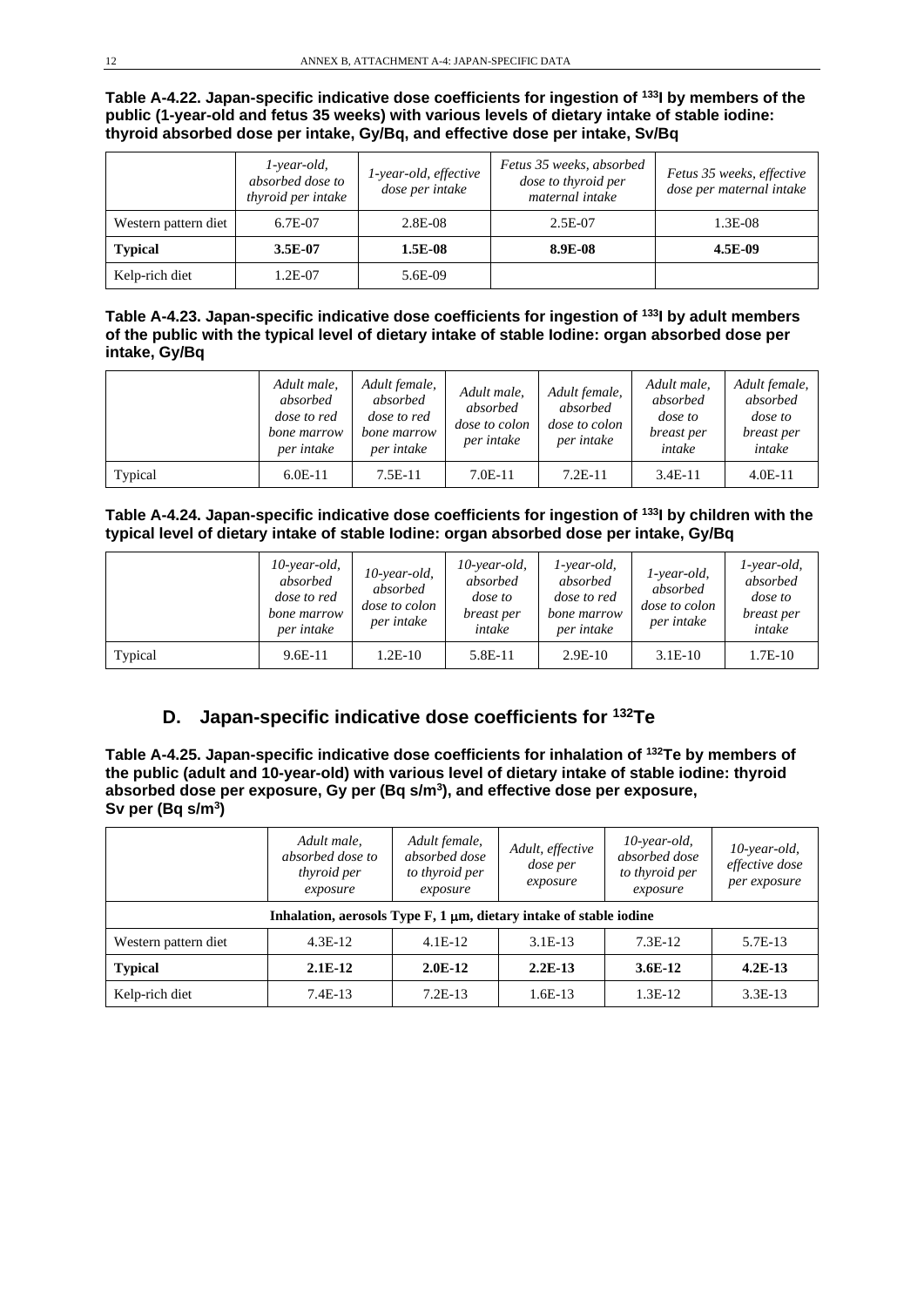#### **Table A-4.22. Japan-specific indicative dose coefficients for ingestion of 133I by members of the public (1-year-old and fetus 35 weeks) with various levels of dietary intake of stable iodine: thyroid absorbed dose per intake, Gy/Bq, and effective dose per intake, Sv/Bq**

|                      | $1$ -year-old,<br>absorbed dose to<br>thyroid per intake | 1-year-old, effective<br>dose per intake | Fetus 35 weeks, absorbed<br>dose to thyroid per<br>maternal intake | Fetus 35 weeks, effective<br>dose per maternal intake |
|----------------------|----------------------------------------------------------|------------------------------------------|--------------------------------------------------------------------|-------------------------------------------------------|
| Western pattern diet | 6.7E-07                                                  | 2.8E-08                                  | 2.5E-07                                                            | 1.3E-08                                               |
| <b>Typical</b>       | $3.5E-07$                                                | 1.5E-08                                  | 8.9E-08                                                            | 4.5E-09                                               |
| Kelp-rich diet       | 1.2E-07                                                  | 5.6E-09                                  |                                                                    |                                                       |

#### **Table A-4.23. Japan-specific indicative dose coefficients for ingestion of 133I by adult members of the public with the typical level of dietary intake of stable Iodine: organ absorbed dose per intake, Gy/Bq**

|         | Adult male,<br>absorbed<br><i>dose to red</i><br>bone marrow<br>per intake | Adult female,<br>absorbed<br><i>dose to red</i><br>bone marrow<br>per intake | Adult male,<br>absorbed<br><i>dose to colon</i><br>per intake | Adult female,<br>absorbed<br><i>dose to colon</i><br>per intake | Adult male,<br>absorbed<br>dose to<br>breast per<br>intake | Adult female,<br>absorbed<br>dose to<br>breast per<br>intake |
|---------|----------------------------------------------------------------------------|------------------------------------------------------------------------------|---------------------------------------------------------------|-----------------------------------------------------------------|------------------------------------------------------------|--------------------------------------------------------------|
| Typical | $6.0E-11$                                                                  | $7.5E-11$                                                                    | $7.0E-11$                                                     | $7.2E-11$                                                       | $3.4E-11$                                                  | $4.0E-11$                                                    |

#### **Table A-4.24. Japan-specific indicative dose coefficients for ingestion of 133I by children with the typical level of dietary intake of stable Iodine: organ absorbed dose per intake, Gy/Bq**

|         | $10$ -year-old,<br>absorbed<br><i>dose to red</i><br>bone marrow<br>per intake | $10$ -year-old,<br>absorbed<br><i>dose to colon</i><br>per intake | $10$ -year-old,<br>absorbed<br><i>dose</i> to<br>breast per<br>intake | l-year-old,<br>absorbed<br><i>dose to red</i><br>bone marrow<br>per intake | $1$ -year-old,<br>absorbed<br><i>dose to colon</i><br>per intake | l-year-old,<br>absorbed<br>dose to<br>breast per<br>intake |
|---------|--------------------------------------------------------------------------------|-------------------------------------------------------------------|-----------------------------------------------------------------------|----------------------------------------------------------------------------|------------------------------------------------------------------|------------------------------------------------------------|
| Typical | $9.6E-11$                                                                      | $1.2E-10$                                                         | 5.8E-11                                                               | $2.9E-10$                                                                  | $3.1E-10$                                                        | $1.7E-10$                                                  |

## **D. Japan-specific indicative dose coefficients for 132Te**

**Table A-4.25. Japan-specific indicative dose coefficients for inhalation of 132Te by members of the public (adult and 10-year-old) with various level of dietary intake of stable iodine: thyroid absorbed dose per exposure, Gy per (Bq s/m3), and effective dose per exposure, Sv per (Bq s/m3)**

|                      | Adult male,<br>absorbed dose to<br>thyroid per<br>exposure                 | Adult female,<br>absorbed dose<br>to thyroid per<br>exposure | Adult, effective<br>dose per<br>exposure | $10$ -year-old,<br>absorbed dose<br>to thyroid per<br>exposure | $10$ -year-old,<br>effective dose<br>per exposure |
|----------------------|----------------------------------------------------------------------------|--------------------------------------------------------------|------------------------------------------|----------------------------------------------------------------|---------------------------------------------------|
|                      | Inhalation, aerosols Type $F$ , 1 $\mu$ m, dietary intake of stable iodine |                                                              |                                          |                                                                |                                                   |
| Western pattern diet | $4.3E-12$                                                                  | $4.1E-12$                                                    | $3.1E-13$                                | $7.3E-12$                                                      | 5.7E-13                                           |
| <b>Typical</b>       | $2.1E-12$                                                                  | $2.0E-12$                                                    | $2.2E-13$                                | $3.6E-12$                                                      | $4.2E-13$                                         |
| Kelp-rich diet       | $7.4E-13$                                                                  | $7.2E-13$                                                    | $1.6E-13$                                | $1.3E-12$                                                      | $3.3E-13$                                         |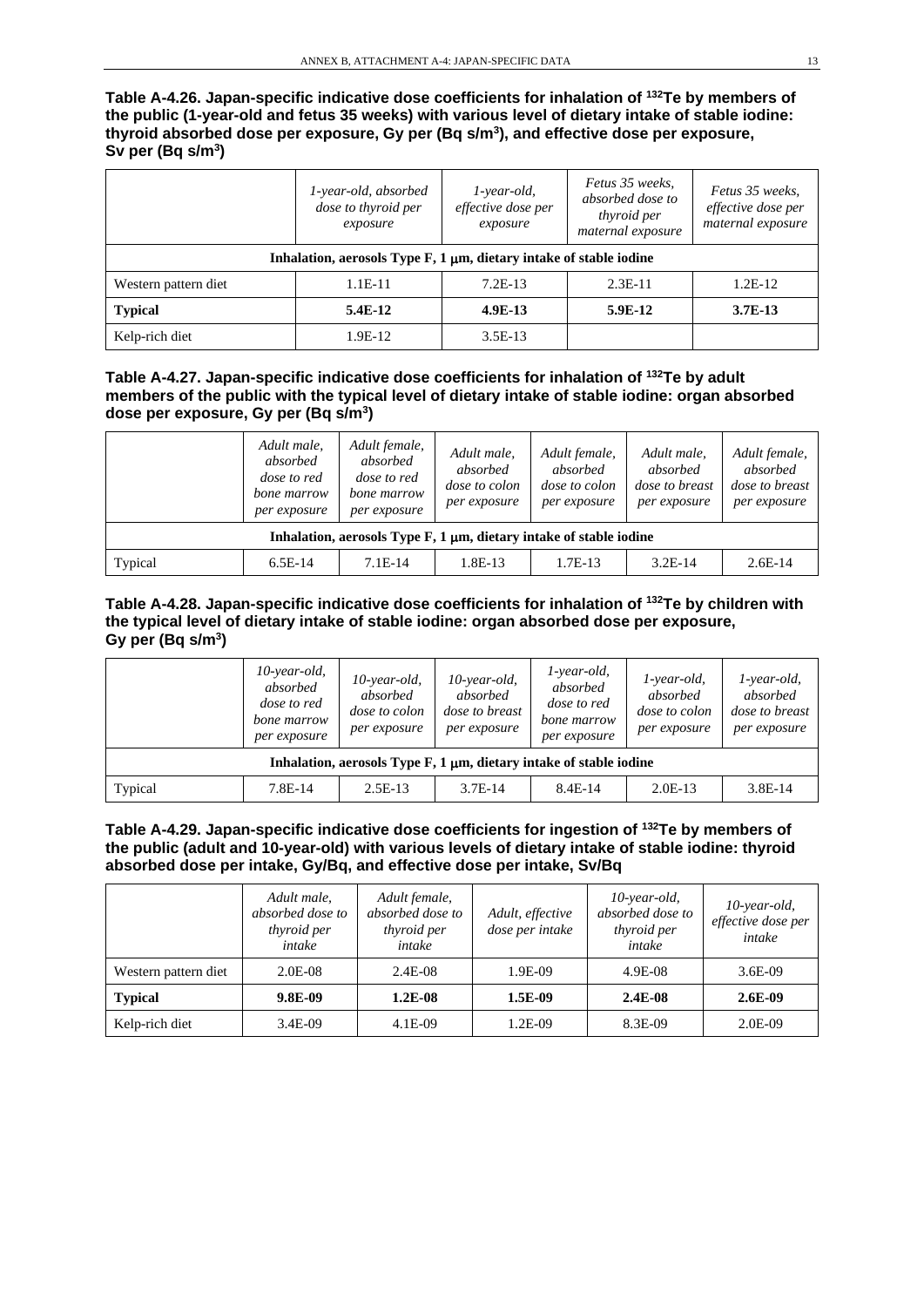**Table A-4.26. Japan-specific indicative dose coefficients for inhalation of 132Te by members of the public (1-year-old and fetus 35 weeks) with various level of dietary intake of stable iodine: thyroid absorbed dose per exposure, Gy per (Bq s/m3), and effective dose per exposure, Sv per (Bq s/m3)**

|                      | 1-year-old, absorbed<br>dose to thyroid per<br>exposure                    | $1$ -year-old,<br>effective dose per<br>exposure | Fetus 35 weeks,<br>absorbed dose to<br>thyroid per<br>maternal exposure | Fetus 35 weeks.<br>effective dose per<br>maternal exposure |
|----------------------|----------------------------------------------------------------------------|--------------------------------------------------|-------------------------------------------------------------------------|------------------------------------------------------------|
|                      | Inhalation, aerosols Type $F$ , 1 $\mu$ m, dietary intake of stable iodine |                                                  |                                                                         |                                                            |
| Western pattern diet | 1.1E-11                                                                    | $7.2E-13$                                        | $2.3E-11$                                                               | 1.2E-12                                                    |
| <b>Typical</b>       | $5.4E-12$                                                                  | $4.9E-13$                                        | 5.9E-12                                                                 | $3.7E-13$                                                  |
| Kelp-rich diet       | 1.9E-12                                                                    | $3.5E-13$                                        |                                                                         |                                                            |

**Table A-4.27. Japan-specific indicative dose coefficients for inhalation of 132Te by adult members of the public with the typical level of dietary intake of stable iodine: organ absorbed dose per exposure, Gy per (Bq s/m3)**

|         | Adult male,<br>absorbed<br><i>dose to red</i><br>bone marrow<br>per exposure | Adult female,<br>absorbed<br><i>dose to red</i><br>bone marrow<br>per exposure | Adult male,<br>absorbed<br>dose to colon<br>per exposure | Adult female,<br>absorbed<br><i>dose to colon</i><br>per exposure | Adult male,<br>absorbed<br><i>dose to breast</i><br>per exposure | Adult female,<br>absorbed<br><i>dose to breast</i><br>per exposure |
|---------|------------------------------------------------------------------------------|--------------------------------------------------------------------------------|----------------------------------------------------------|-------------------------------------------------------------------|------------------------------------------------------------------|--------------------------------------------------------------------|
|         |                                                                              | Inhalation, aerosols Type $F$ , 1 $\mu$ m, dietary intake of stable iodine     |                                                          |                                                                   |                                                                  |                                                                    |
| Typical | $6.5E-14$                                                                    | $7.1E-14$                                                                      | 1.8E-13                                                  | $1.7E-13$                                                         | $3.2E-14$                                                        | $2.6E-14$                                                          |

**Table A-4.28. Japan-specific indicative dose coefficients for inhalation of 132Te by children with the typical level of dietary intake of stable iodine: organ absorbed dose per exposure, Gy per (Bq s/m3)**

|         | $10$ -year-old,<br>absorbed<br><i>dose to red</i><br>bone marrow<br>per exposure | $10$ -year-old,<br>absorbed<br>dose to colon<br>per exposure | $10$ -year-old,<br>absorbed<br><i>dose to breast</i><br>per exposure       | $1$ -year-old,<br>absorbed<br><i>dose to red</i><br>bone marrow<br>per exposure | $1$ -year-old,<br>absorbed<br><i>dose to colon</i><br>per exposure | $1$ -year-old,<br>absorbed<br><i>dose to breast</i><br>per exposure |
|---------|----------------------------------------------------------------------------------|--------------------------------------------------------------|----------------------------------------------------------------------------|---------------------------------------------------------------------------------|--------------------------------------------------------------------|---------------------------------------------------------------------|
|         |                                                                                  |                                                              | Inhalation, aerosols Type $F$ , 1 $\mu$ m, dietary intake of stable iodine |                                                                                 |                                                                    |                                                                     |
| Typical | $7.8E-14$                                                                        | $2.5E-13$                                                    | $3.7E-14$                                                                  | 8.4E-14                                                                         | $2.0E-13$                                                          | $3.8E-14$                                                           |

#### **Table A-4.29. Japan-specific indicative dose coefficients for ingestion of 132Te by members of the public (adult and 10-year-old) with various levels of dietary intake of stable iodine: thyroid absorbed dose per intake, Gy/Bq, and effective dose per intake, Sv/Bq**

|                      | Adult male,<br>absorbed dose to<br>thyroid per<br>intake | Adult female,<br>absorbed dose to<br>thyroid per<br>intake | Adult, effective<br>dose per intake | $10$ -year-old,<br>absorbed dose to<br>thyroid per<br>intake | $10$ -year-old,<br>effective dose per<br>intake |
|----------------------|----------------------------------------------------------|------------------------------------------------------------|-------------------------------------|--------------------------------------------------------------|-------------------------------------------------|
| Western pattern diet | 2.0E-08                                                  | $2.4E-08$                                                  | 1.9E-09                             | 4.9E-08                                                      | $3.6E-09$                                       |
| <b>Typical</b>       | 9.8E-09                                                  | $1.2E-08$                                                  | 1.5E-09                             | $2.4E-0.8$                                                   | $2.6E-09$                                       |
| Kelp-rich diet       | 3.4E-09                                                  | $4.1E-09$                                                  | 1.2E-09                             | 8.3E-09                                                      | 2.0E-09                                         |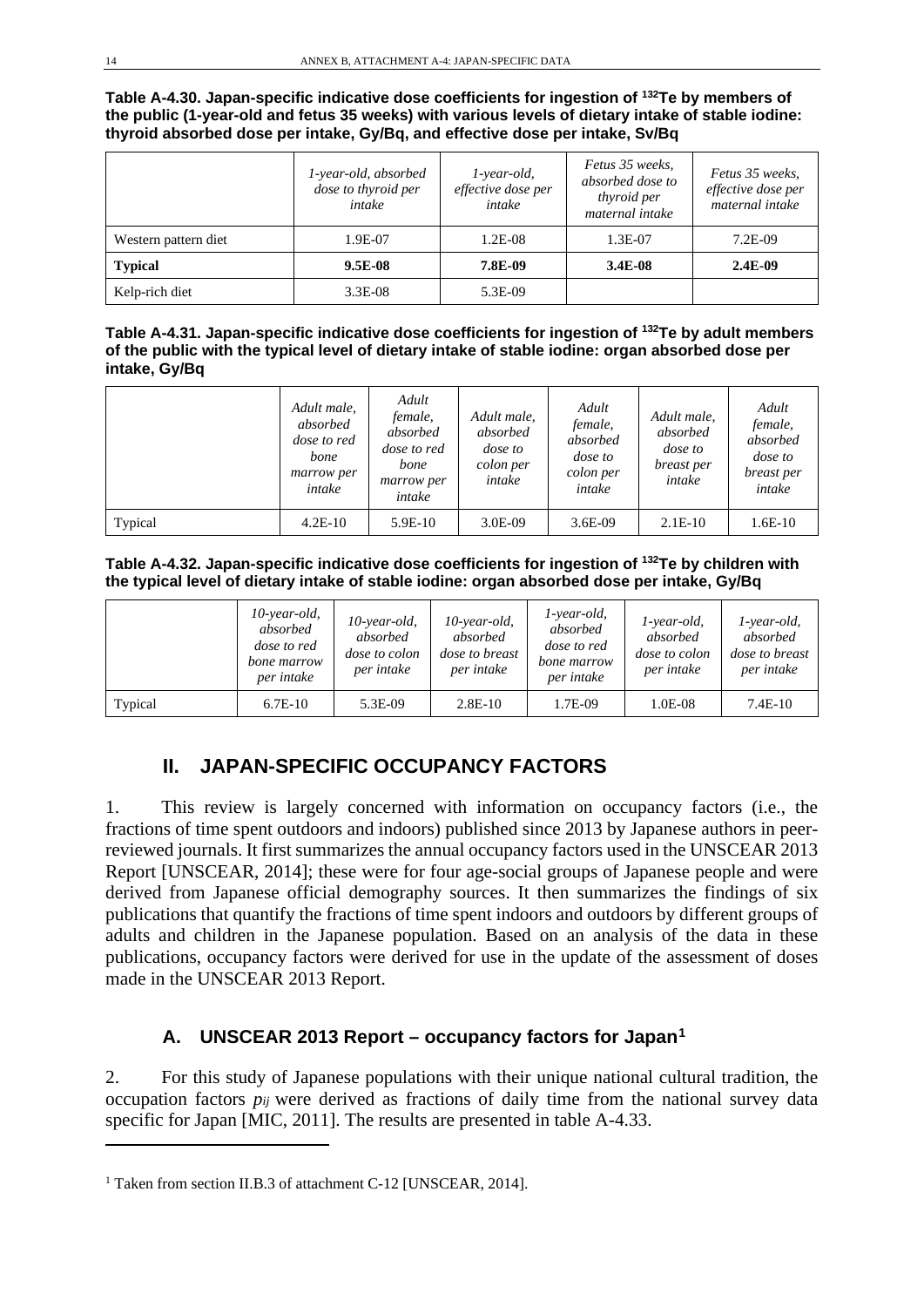**Table A-4.30. Japan-specific indicative dose coefficients for ingestion of 132Te by members of the public (1-year-old and fetus 35 weeks) with various levels of dietary intake of stable iodine: thyroid absorbed dose per intake, Gy/Bq, and effective dose per intake, Sv/Bq**

|                      | 1-year-old, absorbed<br>dose to thyroid per<br>intake | $1$ -year-old,<br>effective dose per<br>intake | Fetus 35 weeks,<br>absorbed dose to<br><i>thyroid per</i><br>maternal intake | Fetus 35 weeks,<br>effective dose per<br>maternal intake |
|----------------------|-------------------------------------------------------|------------------------------------------------|------------------------------------------------------------------------------|----------------------------------------------------------|
| Western pattern diet | 1.9E-07                                               | $1.2E-08$                                      | 1.3E-07                                                                      | $7.2E-09$                                                |
| <b>Typical</b>       | $9.5E-08$                                             | 7.8E-09                                        | $3.4E-08$                                                                    | $2.4E-09$                                                |
| Kelp-rich diet       | 3.3E-08                                               | 5.3E-09                                        |                                                                              |                                                          |

| Table A-4.31. Japan-specific indicative dose coefficients for ingestion of <sup>132</sup> Te by adult members |
|---------------------------------------------------------------------------------------------------------------|
| of the public with the typical level of dietary intake of stable iodine: organ absorbed dose per              |
| intake, Gy/Bq                                                                                                 |

|         | Adult male,<br>absorbed<br><i>dose to red</i><br>bone<br>marrow per<br>intake | Adult<br>female,<br>absorbed<br><i>dose to red</i><br>bone<br>marrow per<br>intake | Adult male,<br>absorbed<br>dose to<br>colon per<br>intake | Adult<br>female,<br>absorbed<br><i>dose</i> to<br>colon per<br>intake | Adult male,<br>absorbed<br><i>dose</i> to<br>breast per<br>intake | Adult<br>female,<br>absorbed<br>dose to<br>breast per<br>intake |
|---------|-------------------------------------------------------------------------------|------------------------------------------------------------------------------------|-----------------------------------------------------------|-----------------------------------------------------------------------|-------------------------------------------------------------------|-----------------------------------------------------------------|
| Typical | $4.2E-10$                                                                     | $5.9E-10$                                                                          | 3.0E-09                                                   | $3.6E-09$                                                             | $2.1E-10$                                                         | $1.6E-10$                                                       |

**Table A-4.32. Japan-specific indicative dose coefficients for ingestion of 132Te by children with the typical level of dietary intake of stable iodine: organ absorbed dose per intake, Gy/Bq**

|         | $10$ -year-old,<br>absorbed<br><i>dose to red</i><br>bone marrow<br>per intake | $10$ -year-old,<br>absorbed<br>dose to colon<br>per intake | 10-year-old,<br>absorbed<br><i>dose to breast</i><br>per intake | 1-year-old,<br>absorbed<br><i>dose to red</i><br>bone marrow<br>per intake | 1-year-old,<br>absorbed<br><i>dose to colon</i><br>per intake | 1-year-old,<br>absorbed<br><i>dose to breast</i><br>per intake |
|---------|--------------------------------------------------------------------------------|------------------------------------------------------------|-----------------------------------------------------------------|----------------------------------------------------------------------------|---------------------------------------------------------------|----------------------------------------------------------------|
| Typical | $6.7E-10$                                                                      | 5.3E-09                                                    | $2.8E-10$                                                       | 1.7E-09                                                                    | 1.0E-08                                                       | $7.4E-10$                                                      |

# **II. JAPAN-SPECIFIC OCCUPANCY FACTORS**

1. This review is largely concerned with information on occupancy factors (i.e., the fractions of time spent outdoors and indoors) published since 2013 by Japanese authors in peerreviewed journals. It first summarizes the annual occupancy factors used in the UNSCEAR 2013 Report [UNSCEAR, 2014]; these were for four age-social groups of Japanese people and were derived from Japanese official demography sources. It then summarizes the findings of six publications that quantify the fractions of time spent indoors and outdoors by different groups of adults and children in the Japanese population. Based on an analysis of the data in these publications, occupancy factors were derived for use in the update of the assessment of doses made in the UNSCEAR 2013 Report.

### **A. UNSCEAR 2013 Report – occupancy factors for Japan[1](#page-13-0)**

2. For this study of Japanese populations with their unique national cultural tradition, the occupation factors *pij* were derived as fractions of daily time from the national survey data specific for Japan [MIC, 2011]. The results are presented in table A-4.33.

<span id="page-13-0"></span><sup>&</sup>lt;sup>1</sup> Taken from section II.B.3 of attachment C-12 [UNSCEAR, 2014].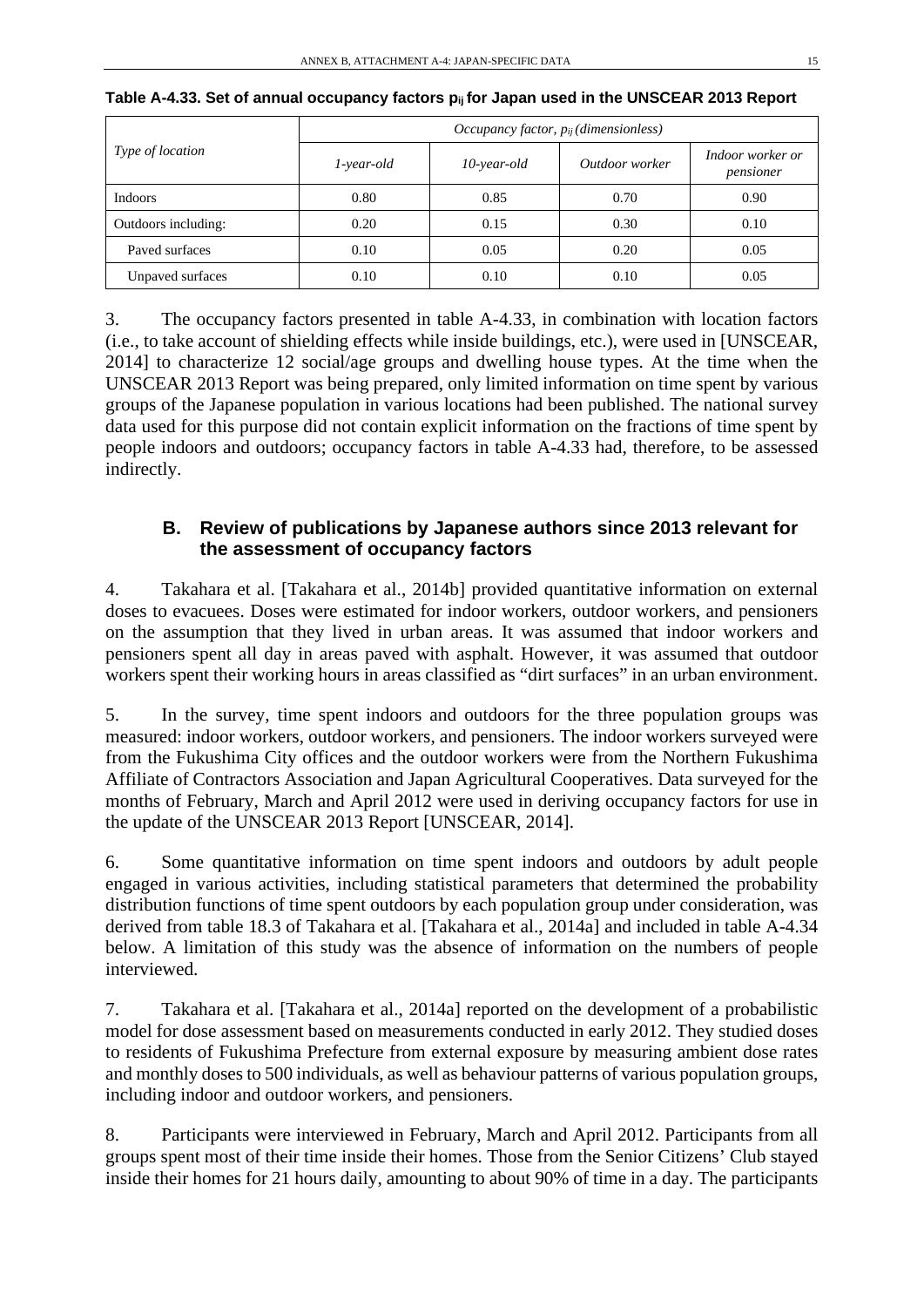|                         | Occupancy factor, $p_{ij}$ (dimensionless) |                |                |                               |  |  |  |
|-------------------------|--------------------------------------------|----------------|----------------|-------------------------------|--|--|--|
| <i>Type of location</i> | $1$ -year-old                              | $10$ -year-old | Outdoor worker | Indoor worker or<br>pensioner |  |  |  |
| Indoors                 | 0.80                                       | 0.85           | 0.70           | 0.90                          |  |  |  |
| Outdoors including:     | 0.20                                       | 0.15           | 0.30           | 0.10                          |  |  |  |
| Paved surfaces          | 0.10                                       | 0.05           | 0.20           | 0.05                          |  |  |  |
| Unpaved surfaces        | 0.10                                       | 0.10           | 0.10           | 0.05                          |  |  |  |

| Table A-4.33. Set of annual occupancy factors pijfor Japan used in the UNSCEAR 2013 Report |  |  |
|--------------------------------------------------------------------------------------------|--|--|
|--------------------------------------------------------------------------------------------|--|--|

3. The occupancy factors presented in table A-4.33, in combination with location factors (i.e., to take account of shielding effects while inside buildings, etc.), were used in [UNSCEAR, 2014] to characterize 12 social/age groups and dwelling house types. At the time when the UNSCEAR 2013 Report was being prepared, only limited information on time spent by various groups of the Japanese population in various locations had been published. The national survey data used for this purpose did not contain explicit information on the fractions of time spent by people indoors and outdoors; occupancy factors in table A-4.33 had, therefore, to be assessed indirectly.

### **B. Review of publications by Japanese authors since 2013 relevant for the assessment of occupancy factors**

4. Takahara et al. [Takahara et al., 2014b] provided quantitative information on external doses to evacuees. Doses were estimated for indoor workers, outdoor workers, and pensioners on the assumption that they lived in urban areas. It was assumed that indoor workers and pensioners spent all day in areas paved with asphalt. However, it was assumed that outdoor workers spent their working hours in areas classified as "dirt surfaces" in an urban environment.

5. In the survey, time spent indoors and outdoors for the three population groups was measured: indoor workers, outdoor workers, and pensioners. The indoor workers surveyed were from the Fukushima City offices and the outdoor workers were from the Northern Fukushima Affiliate of Contractors Association and Japan Agricultural Cooperatives. Data surveyed for the months of February, March and April 2012 were used in deriving occupancy factors for use in the update of the UNSCEAR 2013 Report [UNSCEAR, 2014].

6. Some quantitative information on time spent indoors and outdoors by adult people engaged in various activities, including statistical parameters that determined the probability distribution functions of time spent outdoors by each population group under consideration, was derived from table 18.3 of Takahara et al. [Takahara et al., 2014a] and included in table A-4.34 below. A limitation of this study was the absence of information on the numbers of people interviewed.

7. Takahara et al. [Takahara et al., 2014a] reported on the development of a probabilistic model for dose assessment based on measurements conducted in early 2012. They studied doses to residents of Fukushima Prefecture from external exposure by measuring ambient dose rates and monthly doses to 500 individuals, as well as behaviour patterns of various population groups, including indoor and outdoor workers, and pensioners.

8. Participants were interviewed in February, March and April 2012. Participants from all groups spent most of their time inside their homes. Those from the Senior Citizens' Club stayed inside their homes for 21 hours daily, amounting to about 90% of time in a day. The participants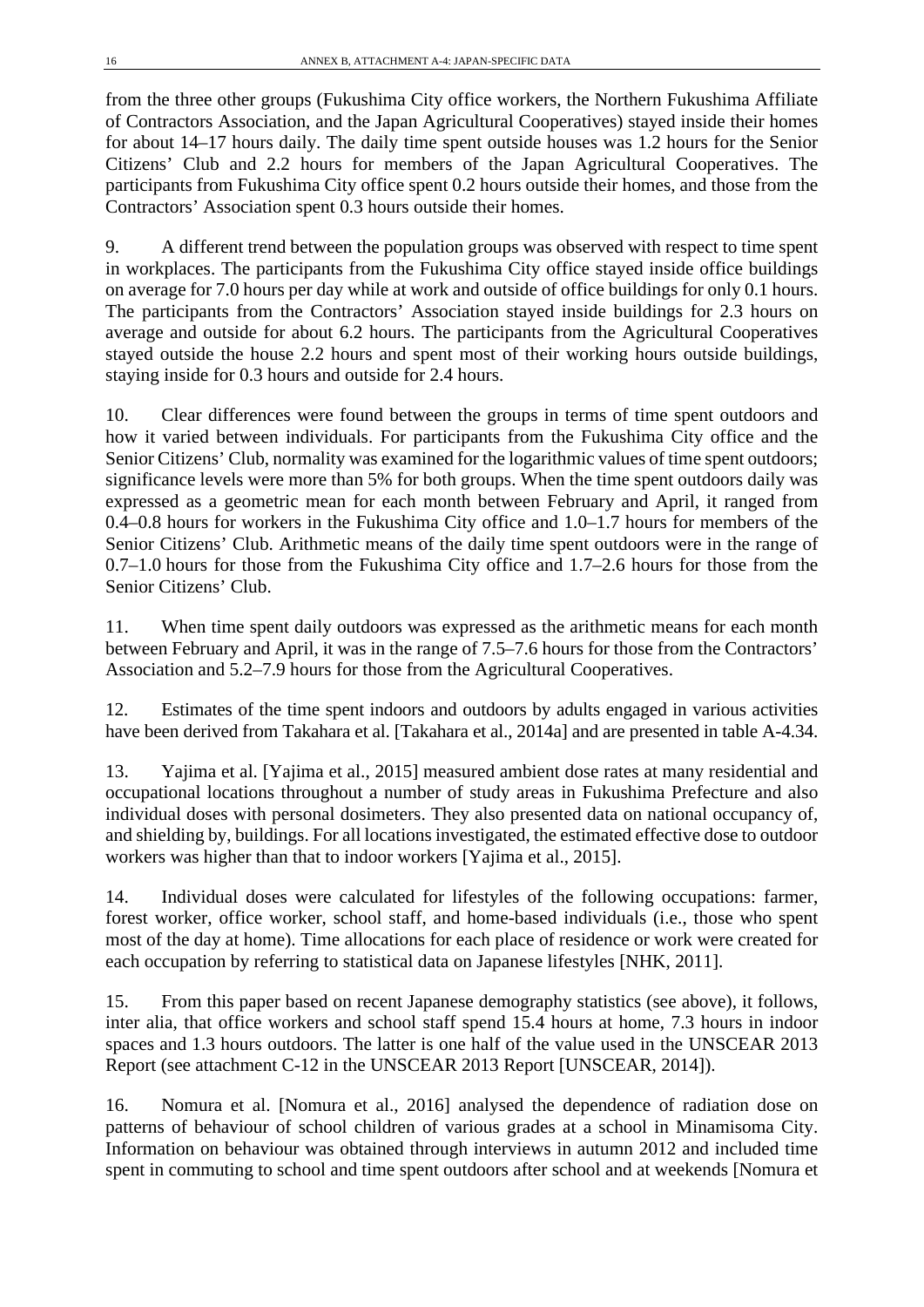from the three other groups (Fukushima City office workers, the Northern Fukushima Affiliate of Contractors Association, and the Japan Agricultural Cooperatives) stayed inside their homes for about 14–17 hours daily. The daily time spent outside houses was 1.2 hours for the Senior Citizens' Club and 2.2 hours for members of the Japan Agricultural Cooperatives. The participants from Fukushima City office spent 0.2 hours outside their homes, and those from the Contractors' Association spent 0.3 hours outside their homes.

9. A different trend between the population groups was observed with respect to time spent in workplaces. The participants from the Fukushima City office stayed inside office buildings on average for 7.0 hours per day while at work and outside of office buildings for only 0.1 hours. The participants from the Contractors' Association stayed inside buildings for 2.3 hours on average and outside for about 6.2 hours. The participants from the Agricultural Cooperatives stayed outside the house 2.2 hours and spent most of their working hours outside buildings, staying inside for 0.3 hours and outside for 2.4 hours.

10. Clear differences were found between the groups in terms of time spent outdoors and how it varied between individuals. For participants from the Fukushima City office and the Senior Citizens' Club, normality was examined for the logarithmic values of time spent outdoors; significance levels were more than 5% for both groups. When the time spent outdoors daily was expressed as a geometric mean for each month between February and April, it ranged from 0.4–0.8 hours for workers in the Fukushima City office and 1.0–1.7 hours for members of the Senior Citizens' Club. Arithmetic means of the daily time spent outdoors were in the range of 0.7–1.0 hours for those from the Fukushima City office and 1.7–2.6 hours for those from the Senior Citizens' Club.

11. When time spent daily outdoors was expressed as the arithmetic means for each month between February and April, it was in the range of 7.5–7.6 hours for those from the Contractors' Association and 5.2–7.9 hours for those from the Agricultural Cooperatives.

12. Estimates of the time spent indoors and outdoors by adults engaged in various activities have been derived from Takahara et al. [Takahara et al., 2014a] and are presented in table A-4.34.

13. Yajima et al. [Yajima et al., 2015] measured ambient dose rates at many residential and occupational locations throughout a number of study areas in Fukushima Prefecture and also individual doses with personal dosimeters. They also presented data on national occupancy of, and shielding by, buildings. For all locations investigated, the estimated effective dose to outdoor workers was higher than that to indoor workers [Yajima et al., 2015].

14. Individual doses were calculated for lifestyles of the following occupations: farmer, forest worker, office worker, school staff, and home-based individuals (i.e., those who spent most of the day at home). Time allocations for each place of residence or work were created for each occupation by referring to statistical data on Japanese lifestyles [NHK, 2011].

15. From this paper based on recent Japanese demography statistics (see above), it follows, inter alia, that office workers and school staff spend 15.4 hours at home, 7.3 hours in indoor spaces and 1.3 hours outdoors. The latter is one half of the value used in the UNSCEAR 2013 Report (see attachment C-12 in the UNSCEAR 2013 Report [UNSCEAR, 2014]).

16. Nomura et al. [Nomura et al., 2016] analysed the dependence of radiation dose on patterns of behaviour of school children of various grades at a school in Minamisoma City. Information on behaviour was obtained through interviews in autumn 2012 and included time spent in commuting to school and time spent outdoors after school and at weekends [Nomura et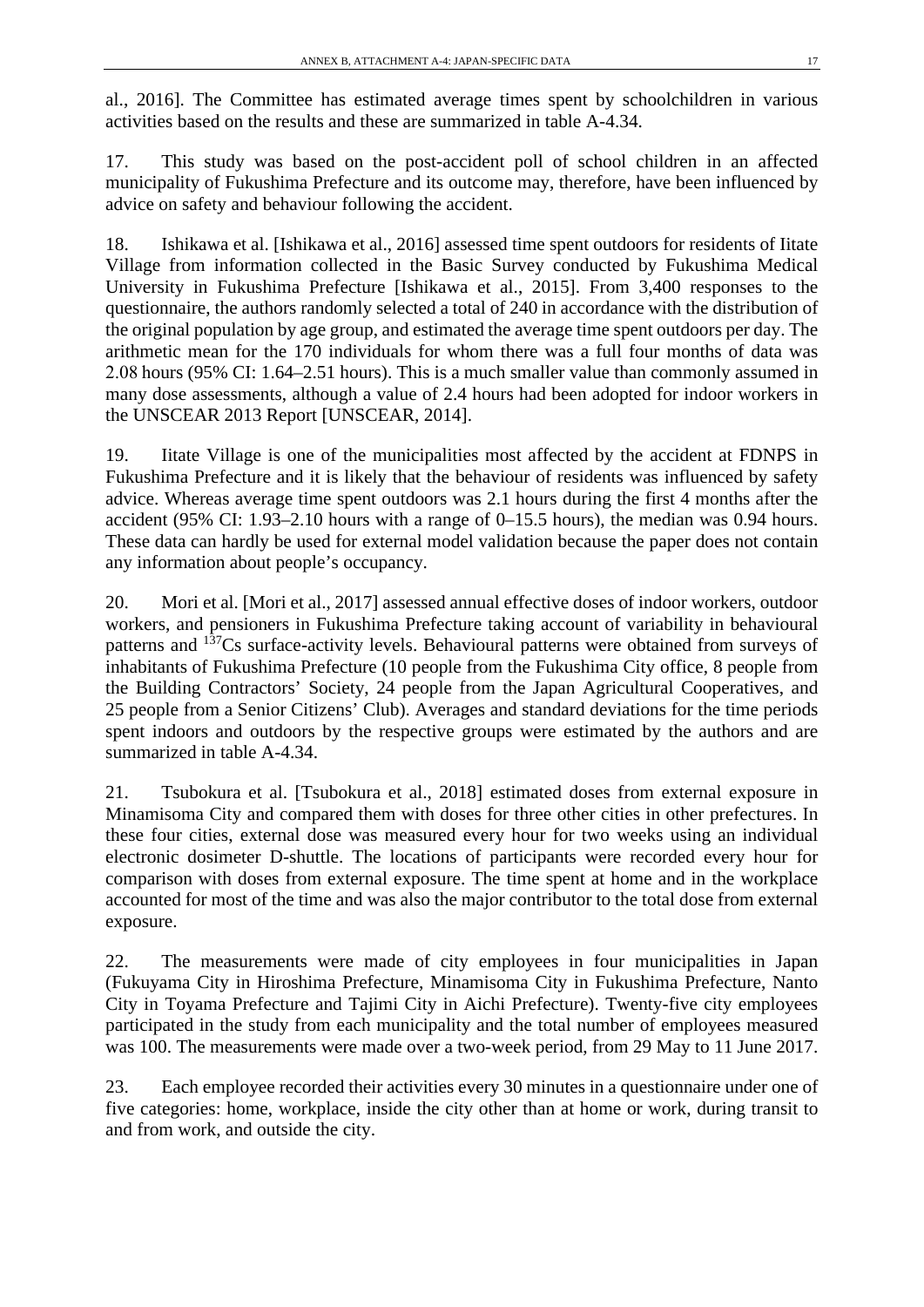al., 2016]. The Committee has estimated average times spent by schoolchildren in various activities based on the results and these are summarized in table A-4.34.

17. This study was based on the post-accident poll of school children in an affected municipality of Fukushima Prefecture and its outcome may, therefore, have been influenced by advice on safety and behaviour following the accident.

18. Ishikawa et al. [Ishikawa et al., 2016] assessed time spent outdoors for residents of Iitate Village from information collected in the Basic Survey conducted by Fukushima Medical University in Fukushima Prefecture [Ishikawa et al., 2015]. From 3,400 responses to the questionnaire, the authors randomly selected a total of 240 in accordance with the distribution of the original population by age group, and estimated the average time spent outdoors per day. The arithmetic mean for the 170 individuals for whom there was a full four months of data was 2.08 hours (95% CI: 1.64–2.51 hours). This is a much smaller value than commonly assumed in many dose assessments, although a value of 2.4 hours had been adopted for indoor workers in the UNSCEAR 2013 Report [UNSCEAR, 2014].

19. Iitate Village is one of the municipalities most affected by the accident at FDNPS in Fukushima Prefecture and it is likely that the behaviour of residents was influenced by safety advice. Whereas average time spent outdoors was 2.1 hours during the first 4 months after the accident (95% CI: 1.93–2.10 hours with a range of 0–15.5 hours), the median was 0.94 hours. These data can hardly be used for external model validation because the paper does not contain any information about people's occupancy.

20. Mori et al. [Mori et al., 2017] assessed annual effective doses of indoor workers, outdoor workers, and pensioners in Fukushima Prefecture taking account of variability in behavioural patterns and 137Cs surface-activity levels. Behavioural patterns were obtained from surveys of inhabitants of Fukushima Prefecture (10 people from the Fukushima City office, 8 people from the Building Contractors' Society, 24 people from the Japan Agricultural Cooperatives, and 25 people from a Senior Citizens' Club). Averages and standard deviations for the time periods spent indoors and outdoors by the respective groups were estimated by the authors and are summarized in table A-4.34.

21. Tsubokura et al. [Tsubokura et al., 2018] estimated doses from external exposure in Minamisoma City and compared them with doses for three other cities in other prefectures. In these four cities, external dose was measured every hour for two weeks using an individual electronic dosimeter D-shuttle. The locations of participants were recorded every hour for comparison with doses from external exposure. The time spent at home and in the workplace accounted for most of the time and was also the major contributor to the total dose from external exposure.

22. The measurements were made of city employees in four municipalities in Japan (Fukuyama City in Hiroshima Prefecture, Minamisoma City in Fukushima Prefecture, Nanto City in Toyama Prefecture and Tajimi City in Aichi Prefecture). Twenty-five city employees participated in the study from each municipality and the total number of employees measured was 100. The measurements were made over a two-week period, from 29 May to 11 June 2017.

23. Each employee recorded their activities every 30 minutes in a questionnaire under one of five categories: home, workplace, inside the city other than at home or work, during transit to and from work, and outside the city.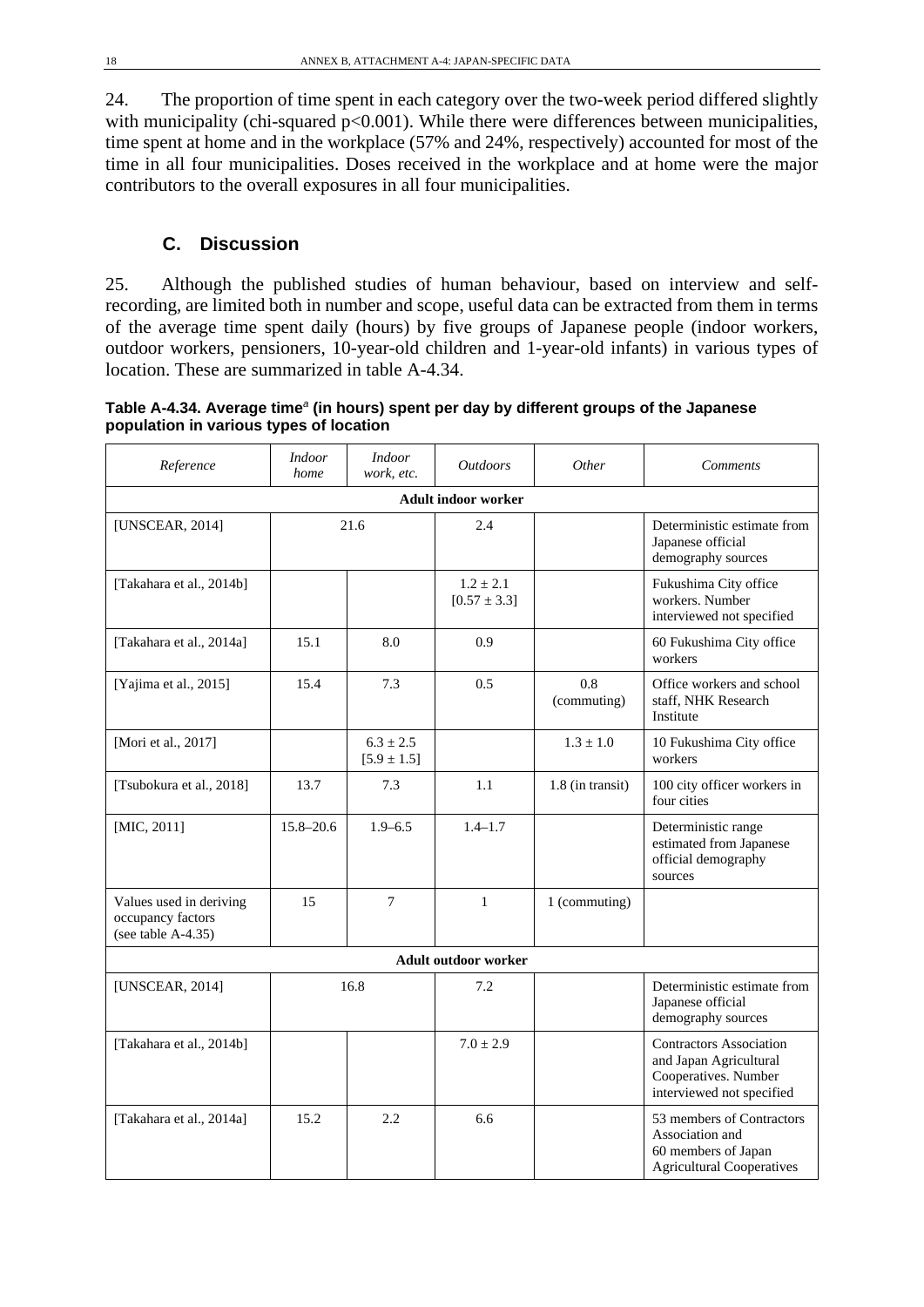24. The proportion of time spent in each category over the two-week period differed slightly with municipality (chi-squared  $p<0.001$ ). While there were differences between municipalities, time spent at home and in the workplace (57% and 24%, respectively) accounted for most of the time in all four municipalities. Doses received in the workplace and at home were the major contributors to the overall exposures in all four municipalities.

### **C. Discussion**

25. Although the published studies of human behaviour, based on interview and selfrecording, are limited both in number and scope, useful data can be extracted from them in terms of the average time spent daily (hours) by five groups of Japanese people (indoor workers, outdoor workers, pensioners, 10-year-old children and 1-year-old infants) in various types of location. These are summarized in table A-4.34.

**Table A-4.34. Average time***<sup>a</sup>* **(in hours) spent per day by different groups of the Japanese population in various types of location** 

| Reference                                                             | <b>Indoor</b><br>home      | <b>Indoor</b><br>work, etc.      | <i><u><b>Outdoors</b></u></i>     | Other              | <b>Comments</b>                                                                                               |  |  |  |
|-----------------------------------------------------------------------|----------------------------|----------------------------------|-----------------------------------|--------------------|---------------------------------------------------------------------------------------------------------------|--|--|--|
|                                                                       | <b>Adult indoor worker</b> |                                  |                                   |                    |                                                                                                               |  |  |  |
| [UNSCEAR, 2014]                                                       | 21.6                       |                                  | 2.4                               |                    | Deterministic estimate from<br>Japanese official<br>demography sources                                        |  |  |  |
| [Takahara et al., 2014b]                                              |                            |                                  | $1.2 \pm 2.1$<br>$[0.57 \pm 3.3]$ |                    | Fukushima City office<br>workers. Number<br>interviewed not specified                                         |  |  |  |
| [Takahara et al., 2014a]                                              | 15.1                       | 8.0                              | 0.9                               |                    | 60 Fukushima City office<br>workers                                                                           |  |  |  |
| [Yajima et al., 2015]                                                 | 15.4                       | 7.3                              | 0.5                               | 0.8<br>(commuting) | Office workers and school<br>staff, NHK Research<br>Institute                                                 |  |  |  |
| [Mori et al., 2017]                                                   |                            | $6.3 \pm 2.5$<br>$[5.9 \pm 1.5]$ |                                   | $1.3 \pm 1.0$      | 10 Fukushima City office<br>workers                                                                           |  |  |  |
| [Tsubokura et al., 2018]                                              | 13.7                       | 7.3                              | 1.1                               | $1.8$ (in transit) | 100 city officer workers in<br>four cities                                                                    |  |  |  |
| [MIC, 2011]                                                           | $15.8 - 20.6$              | $1.9 - 6.5$                      | $1.4 - 1.7$                       |                    | Deterministic range<br>estimated from Japanese<br>official demography<br>sources                              |  |  |  |
| Values used in deriving<br>occupancy factors<br>(see table $A-4.35$ ) | 15                         | $\tau$                           | $\mathbf{1}$                      | 1 (commuting)      |                                                                                                               |  |  |  |
|                                                                       |                            |                                  | <b>Adult outdoor worker</b>       |                    |                                                                                                               |  |  |  |
| [UNSCEAR, 2014]                                                       |                            | 16.8                             | 7.2                               |                    | Deterministic estimate from<br>Japanese official<br>demography sources                                        |  |  |  |
| [Takahara et al., 2014b]                                              |                            |                                  | $7.0 \pm 2.9$                     |                    | <b>Contractors Association</b><br>and Japan Agricultural<br>Cooperatives. Number<br>interviewed not specified |  |  |  |
| [Takahara et al., 2014a]                                              | 15.2                       | 2.2                              | 6.6                               |                    | 53 members of Contractors<br>Association and<br>60 members of Japan<br><b>Agricultural Cooperatives</b>       |  |  |  |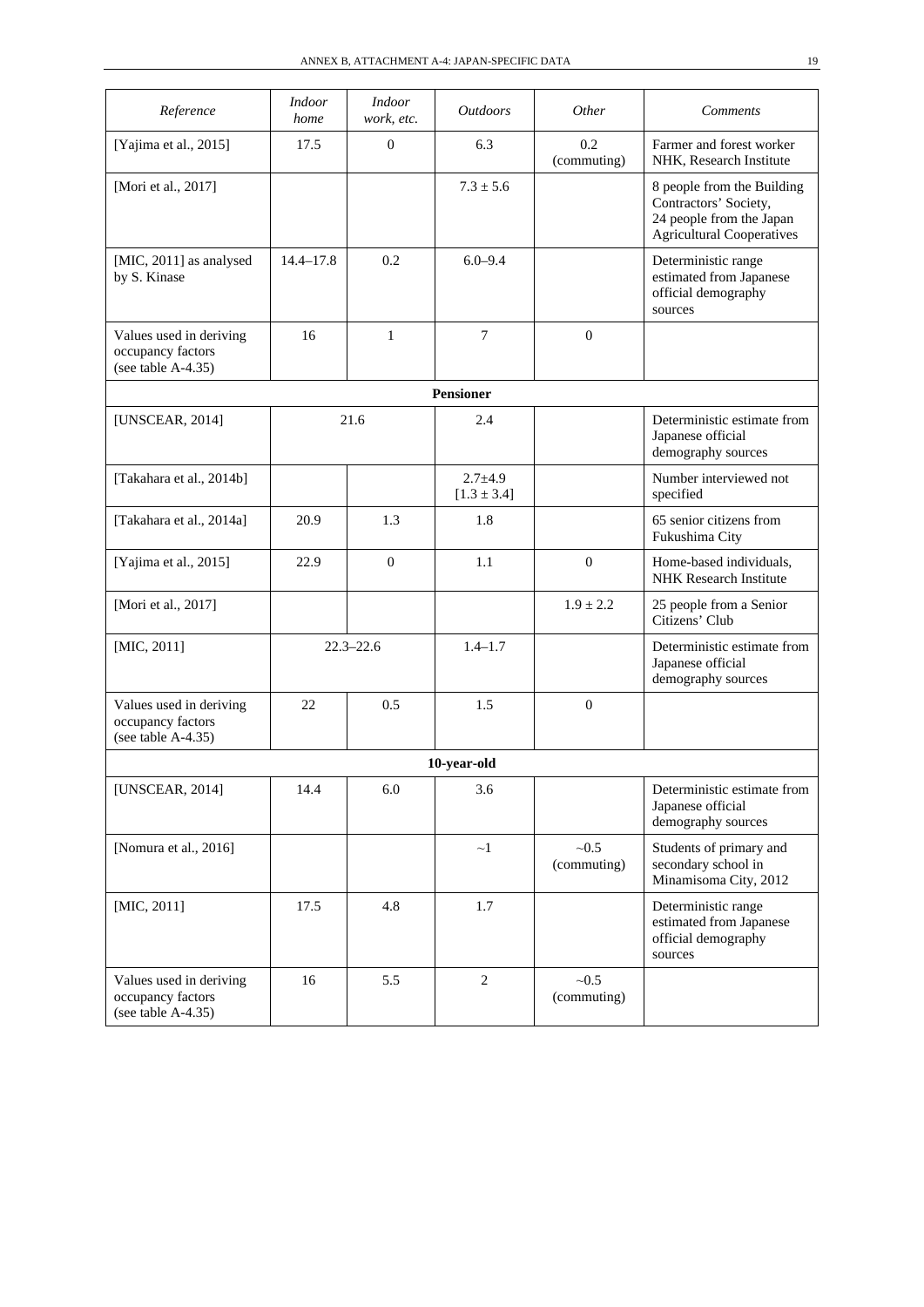| Reference                                                             | <i>Indoor</i><br>home | <b>Indoor</b><br>work, etc. | <i>Outdoors</i>                | <i>Other</i>         | <b>Comments</b>                                                                                                     |
|-----------------------------------------------------------------------|-----------------------|-----------------------------|--------------------------------|----------------------|---------------------------------------------------------------------------------------------------------------------|
| [Yajima et al., 2015]                                                 | 17.5                  | $\mathbf{0}$                | 6.3                            | 0.2<br>(commuting)   | Farmer and forest worker<br>NHK, Research Institute                                                                 |
| [Mori et al., 2017]                                                   |                       |                             | $7.3 \pm 5.6$                  |                      | 8 people from the Building<br>Contractors' Society,<br>24 people from the Japan<br><b>Agricultural Cooperatives</b> |
| [MIC, 2011] as analysed<br>by S. Kinase                               | $14.4 - 17.8$         | 0.2                         | $6.0 - 9.4$                    |                      | Deterministic range<br>estimated from Japanese<br>official demography<br>sources                                    |
| Values used in deriving<br>occupancy factors<br>(see table A-4.35)    | 16                    | $\mathbf{1}$                | 7                              | $\Omega$             |                                                                                                                     |
|                                                                       |                       |                             | <b>Pensioner</b>               |                      |                                                                                                                     |
| <b>[UNSCEAR, 2014]</b>                                                |                       | 21.6                        | 2.4                            |                      | Deterministic estimate from<br>Japanese official<br>demography sources                                              |
| [Takahara et al., 2014b]                                              |                       |                             | $2.7 + 4.9$<br>$[1.3 \pm 3.4]$ |                      | Number interviewed not<br>specified                                                                                 |
| [Takahara et al., 2014a]                                              | 20.9                  | 1.3                         | 1.8                            |                      | 65 senior citizens from<br>Fukushima City                                                                           |
| [Yajima et al., 2015]                                                 | 22.9                  | $\mathbf{0}$                | 1.1                            | $\overline{0}$       | Home-based individuals,<br><b>NHK</b> Research Institute                                                            |
| [Mori et al., 2017]                                                   |                       |                             |                                | $1.9 \pm 2.2$        | 25 people from a Senior<br>Citizens' Club                                                                           |
| $[MIC, 2011]$                                                         |                       | $22.3 - 22.6$               | $1.4 - 1.7$                    |                      | Deterministic estimate from<br>Japanese official<br>demography sources                                              |
| Values used in deriving<br>occupancy factors<br>(see table $A-4.35$ ) | 22                    | 0.5                         | 1.5                            | $\boldsymbol{0}$     |                                                                                                                     |
|                                                                       |                       |                             | 10-year-old                    |                      |                                                                                                                     |
| [UNSCEAR, 2014]                                                       | 14.4                  | 6.0                         | 3.6                            |                      | Deterministic estimate from<br>Japanese official<br>demography sources                                              |
| [Nomura et al., 2016]                                                 |                       |                             | $\sim$ 1                       | ~10.5<br>(commuting) | Students of primary and<br>secondary school in<br>Minamisoma City, 2012                                             |
| $[MIC, 2011]$                                                         | 17.5                  | 4.8                         | 1.7                            |                      | Deterministic range<br>estimated from Japanese<br>official demography<br>sources                                    |
| Values used in deriving<br>occupancy factors<br>(see table A-4.35)    | 16                    | 5.5                         | $\overline{c}$                 | ~10.5<br>(commuting) |                                                                                                                     |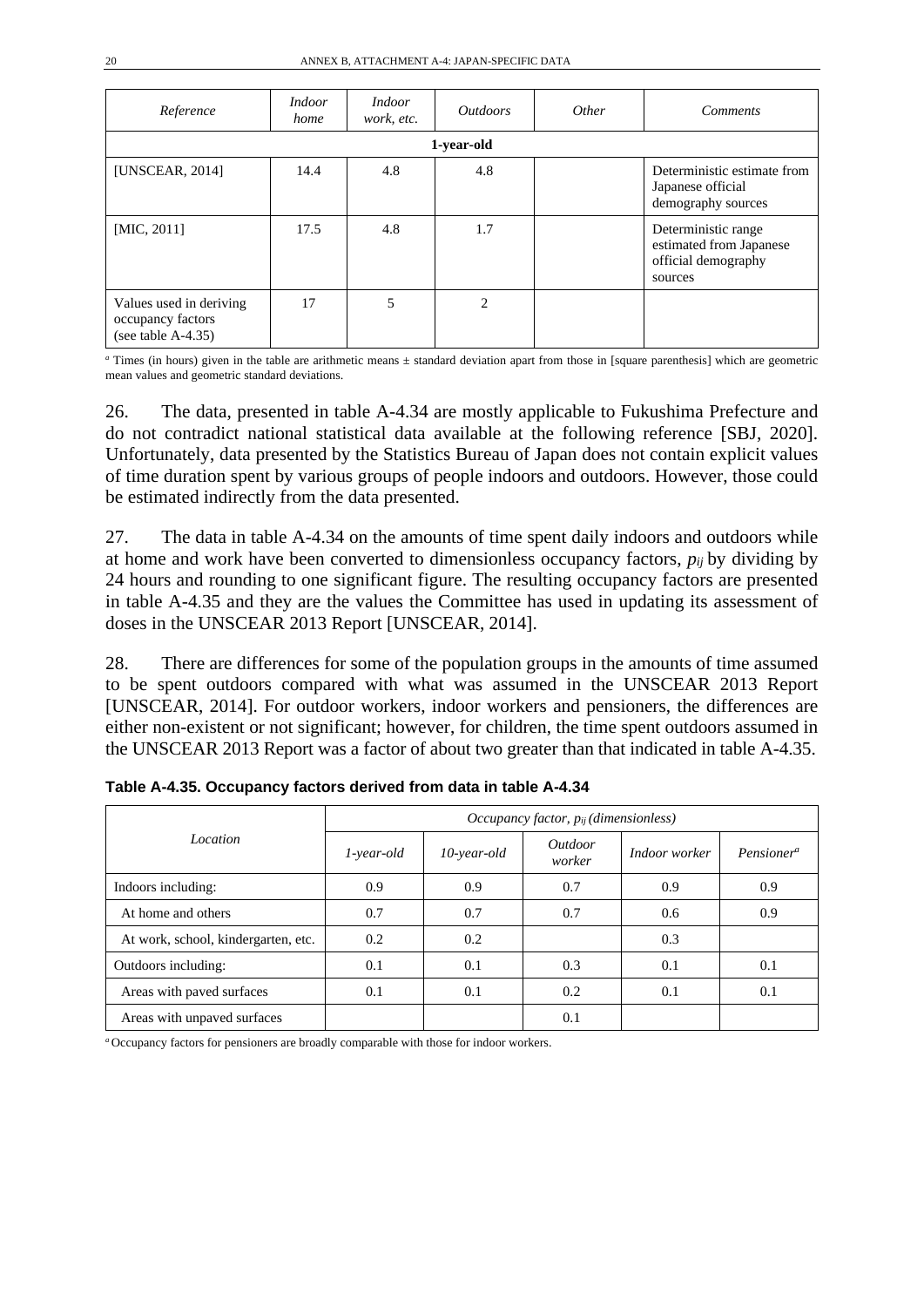| Reference                                                             | <i>Indoor</i><br>home | <i>Indoor</i><br>work, etc. | <i>Outdoors</i> | Other | <b>Comments</b>                                                                  |
|-----------------------------------------------------------------------|-----------------------|-----------------------------|-----------------|-------|----------------------------------------------------------------------------------|
|                                                                       |                       |                             | 1-year-old      |       |                                                                                  |
| [UNSCEAR, 2014]                                                       | 14.4                  | 4.8                         | 4.8             |       | Deterministic estimate from<br>Japanese official<br>demography sources           |
| [MIC, 2011]                                                           | 17.5                  | 4.8                         | 1.7             |       | Deterministic range<br>estimated from Japanese<br>official demography<br>sources |
| Values used in deriving<br>occupancy factors<br>(see table $A-4.35$ ) | 17                    | 5                           | $\overline{c}$  |       |                                                                                  |

*<sup>a</sup>* Times (in hours) given in the table are arithmetic means ± standard deviation apart from those in [square parenthesis] which are geometric mean values and geometric standard deviations.

26. The data, presented in table A-4.34 are mostly applicable to Fukushima Prefecture and do not contradict national statistical data available at the following reference [SBJ, 2020]. Unfortunately, data presented by the Statistics Bureau of Japan does not contain explicit values of time duration spent by various groups of people indoors and outdoors. However, those could be estimated indirectly from the data presented.

27. The data in table A-4.34 on the amounts of time spent daily indoors and outdoors while at home and work have been converted to dimensionless occupancy factors, *pij* by dividing by 24 hours and rounding to one significant figure. The resulting occupancy factors are presented in table A-4.35 and they are the values the Committee has used in updating its assessment of doses in the UNSCEAR 2013 Report [UNSCEAR, 2014].

28. There are differences for some of the population groups in the amounts of time assumed to be spent outdoors compared with what was assumed in the UNSCEAR 2013 Report [UNSCEAR, 2014]. For outdoor workers, indoor workers and pensioners, the differences are either non-existent or not significant; however, for children, the time spent outdoors assumed in the UNSCEAR 2013 Report was a factor of about two greater than that indicated in table A-4.35.

|                                     | Occupancy factor, pij (dimensionless) |                |                   |               |                        |  |
|-------------------------------------|---------------------------------------|----------------|-------------------|---------------|------------------------|--|
| Location                            | 1-year-old                            | $10$ -year-old | Outdoor<br>worker | Indoor worker | Pensioner <sup>a</sup> |  |
| Indoors including:                  | 0.9                                   | 0.9            | 0.7               | 0.9           | 0.9                    |  |
| At home and others                  | 0.7                                   | 0.7            | 0.7               | 0.6           | 0.9                    |  |
| At work, school, kindergarten, etc. | 0.2                                   | 0.2            |                   | 0.3           |                        |  |
| Outdoors including:                 | 0.1                                   | 0.1            | 0.3               | 0.1           | 0.1                    |  |
| Areas with paved surfaces           | 0.1                                   | 0.1            | 0.2               | 0.1           | 0.1                    |  |
| Areas with unpaved surfaces         |                                       |                | 0.1               |               |                        |  |

**Table A-4.35. Occupancy factors derived from data in table A-4.34**

*<sup>a</sup>* Occupancy factors for pensioners are broadly comparable with those for indoor workers.